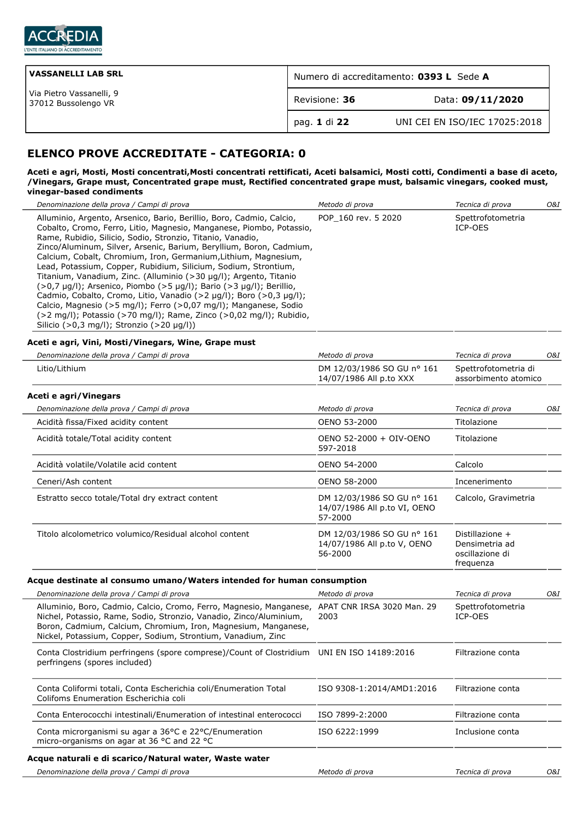

| <b>VASSANELLI LAB SRL</b>                       | Numero di accreditamento: 0393 L Sede A |                               |  |
|-------------------------------------------------|-----------------------------------------|-------------------------------|--|
| Via Pietro Vassanelli, 9<br>37012 Bussolengo VR | Revisione: 36                           | Data: 09/11/2020              |  |
|                                                 | pag. 1 di 22                            | UNI CEI EN ISO/IEC 17025:2018 |  |

# **ELENCO PROVE ACCREDITATE - CATEGORIA: 0**

#### **Aceti e agri, Mosti, Mosti concentrati,Mosti concentrati rettificati, Aceti balsamici, Mosti cotti, Condimenti a base di aceto, /Vinegars, Grape must, Concentrated grape must, Rectified concentrated grape must, balsamic vinegars, cooked must, vinegar-based condiments**

| Denominazione della prova / Campi di prova                                                                                                                                                                                                                                                                                                                                                                                                                                                                                                                                                                                                                                                                                                                                                                                                                                                    | Metodo di prova                                                       | Tecnica di prova                                                  | 0&I |
|-----------------------------------------------------------------------------------------------------------------------------------------------------------------------------------------------------------------------------------------------------------------------------------------------------------------------------------------------------------------------------------------------------------------------------------------------------------------------------------------------------------------------------------------------------------------------------------------------------------------------------------------------------------------------------------------------------------------------------------------------------------------------------------------------------------------------------------------------------------------------------------------------|-----------------------------------------------------------------------|-------------------------------------------------------------------|-----|
| Alluminio, Argento, Arsenico, Bario, Berillio, Boro, Cadmio, Calcio,<br>Cobalto, Cromo, Ferro, Litio, Magnesio, Manganese, Piombo, Potassio,<br>Rame, Rubidio, Silicio, Sodio, Stronzio, Titanio, Vanadio,<br>Zinco/Aluminum, Silver, Arsenic, Barium, Beryllium, Boron, Cadmium,<br>Calcium, Cobalt, Chromium, Iron, Germanium, Lithium, Magnesium,<br>Lead, Potassium, Copper, Rubidium, Silicium, Sodium, Strontium,<br>Titanium, Vanadium, Zinc. (Alluminio (>30 µg/l); Argento, Titanio<br>$(>0.7 \text{ }\mu\text{g/l})$ ; Arsenico, Piombo $(>5 \text{ }\mu\text{g/l})$ ; Bario $(>3 \text{ }\mu\text{g/l})$ ; Berillio,<br>Cadmio, Cobalto, Cromo, Litio, Vanadio (>2 µg/l); Boro (>0,3 µg/l);<br>Calcio, Magnesio (>5 mg/l); Ferro (>0,07 mg/l); Manganese, Sodio<br>(>2 mg/l); Potassio (>70 mg/l); Rame, Zinco (>0,02 mg/l); Rubidio,<br>Silicio (>0,3 mg/l); Stronzio (>20 µg/l)) | POP 160 rev. 5 2020                                                   | Spettrofotometria<br>ICP-OES                                      |     |
| Aceti e agri, Vini, Mosti/Vinegars, Wine, Grape must                                                                                                                                                                                                                                                                                                                                                                                                                                                                                                                                                                                                                                                                                                                                                                                                                                          |                                                                       |                                                                   |     |
| Denominazione della prova / Campi di prova                                                                                                                                                                                                                                                                                                                                                                                                                                                                                                                                                                                                                                                                                                                                                                                                                                                    | Metodo di prova                                                       | Tecnica di prova                                                  | O&I |
| Litio/Lithium                                                                                                                                                                                                                                                                                                                                                                                                                                                                                                                                                                                                                                                                                                                                                                                                                                                                                 | DM 12/03/1986 SO GU nº 161<br>14/07/1986 All p.to XXX                 | Spettrofotometria di<br>assorbimento atomico                      |     |
| Aceti e agri/Vinegars                                                                                                                                                                                                                                                                                                                                                                                                                                                                                                                                                                                                                                                                                                                                                                                                                                                                         |                                                                       |                                                                   |     |
| Denominazione della prova / Campi di prova                                                                                                                                                                                                                                                                                                                                                                                                                                                                                                                                                                                                                                                                                                                                                                                                                                                    | Metodo di prova                                                       | Tecnica di prova                                                  | O&I |
| Acidità fissa/Fixed acidity content                                                                                                                                                                                                                                                                                                                                                                                                                                                                                                                                                                                                                                                                                                                                                                                                                                                           | OENO 53-2000                                                          | Titolazione                                                       |     |
| Acidità totale/Total acidity content                                                                                                                                                                                                                                                                                                                                                                                                                                                                                                                                                                                                                                                                                                                                                                                                                                                          | OENO 52-2000 + OIV-OENO<br>597-2018                                   | Titolazione                                                       |     |
| Acidità volatile/Volatile acid content                                                                                                                                                                                                                                                                                                                                                                                                                                                                                                                                                                                                                                                                                                                                                                                                                                                        | OENO 54-2000                                                          | Calcolo                                                           |     |
| Ceneri/Ash content                                                                                                                                                                                                                                                                                                                                                                                                                                                                                                                                                                                                                                                                                                                                                                                                                                                                            | OENO 58-2000                                                          | Incenerimento                                                     |     |
| Estratto secco totale/Total dry extract content                                                                                                                                                                                                                                                                                                                                                                                                                                                                                                                                                                                                                                                                                                                                                                                                                                               | DM 12/03/1986 SO GU nº 161<br>14/07/1986 All p.to VI, OENO<br>57-2000 | Calcolo, Gravimetria                                              |     |
| Titolo alcolometrico volumico/Residual alcohol content                                                                                                                                                                                                                                                                                                                                                                                                                                                                                                                                                                                                                                                                                                                                                                                                                                        | DM 12/03/1986 SO GU nº 161<br>14/07/1986 All p.to V, OENO<br>56-2000  | Distillazione +<br>Densimetria ad<br>oscillazione di<br>frequenza |     |
| Acque destinate al consumo umano/Waters intended for human consumption                                                                                                                                                                                                                                                                                                                                                                                                                                                                                                                                                                                                                                                                                                                                                                                                                        |                                                                       |                                                                   |     |
| Denominazione della prova / Campi di prova                                                                                                                                                                                                                                                                                                                                                                                                                                                                                                                                                                                                                                                                                                                                                                                                                                                    | Metodo di prova                                                       | Tecnica di prova                                                  | O&I |
| Alluminio, Boro, Cadmio, Calcio, Cromo, Ferro, Magnesio, Manganese, APAT CNR IRSA 3020 Man. 29<br>Nichel, Potassio, Rame, Sodio, Stronzio, Vanadio, Zinco/Aluminium,<br>Boron, Cadmium, Calcium, Chromium, Iron, Magnesium, Manganese,<br>Nickel, Potassium, Copper, Sodium, Strontium, Vanadium, Zinc                                                                                                                                                                                                                                                                                                                                                                                                                                                                                                                                                                                        | 2003                                                                  | Spettrofotometria<br>ICP-OES                                      |     |
| Conta Clostridium perfringens (spore comprese)/Count of Clostridium<br>perfringens (spores included)                                                                                                                                                                                                                                                                                                                                                                                                                                                                                                                                                                                                                                                                                                                                                                                          | UNI EN ISO 14189:2016                                                 | Filtrazione conta                                                 |     |
| Conta Coliformi totali, Conta Escherichia coli/Enumeration Total<br>Colifoms Enumeration Escherichia coli                                                                                                                                                                                                                                                                                                                                                                                                                                                                                                                                                                                                                                                                                                                                                                                     | ISO 9308-1:2014/AMD1:2016                                             | Filtrazione conta                                                 |     |
| Conta Enterococchi intestinali/Enumeration of intestinal enterococci                                                                                                                                                                                                                                                                                                                                                                                                                                                                                                                                                                                                                                                                                                                                                                                                                          | ISO 7899-2:2000                                                       | Filtrazione conta                                                 |     |
| Conta microrganismi su agar a 36°C e 22°C/Enumeration<br>micro-organisms on agar at 36 °C and 22 °C                                                                                                                                                                                                                                                                                                                                                                                                                                                                                                                                                                                                                                                                                                                                                                                           | ISO 6222:1999                                                         | Inclusione conta                                                  |     |
| Acque naturali e di scarico/Natural water, Waste water                                                                                                                                                                                                                                                                                                                                                                                                                                                                                                                                                                                                                                                                                                                                                                                                                                        |                                                                       |                                                                   |     |
| Denominazione della prova / Campi di prova                                                                                                                                                                                                                                                                                                                                                                                                                                                                                                                                                                                                                                                                                                                                                                                                                                                    | Metodo di prova                                                       | Tecnica di prova                                                  | O&I |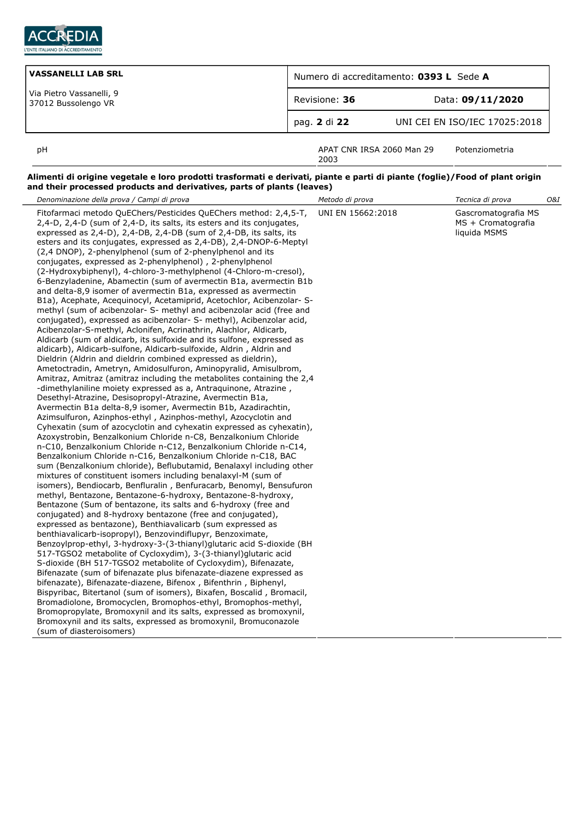

| VASSANELLI LAB SRL                              | Numero di accreditamento: 0393 L Sede A |                               |  |
|-------------------------------------------------|-----------------------------------------|-------------------------------|--|
| Via Pietro Vassanelli, 9<br>37012 Bussolengo VR | Revisione: 36                           | Data: 09/11/2020              |  |
|                                                 | pag. 2 di 22                            | UNI CEI EN ISO/IEC 17025:2018 |  |
| рH                                              | APAT CNR IRSA 2060 Man 29               | Potenziometria                |  |

2003

### **Alimenti di origine vegetale e loro prodotti trasformati e derivati, piante e parti di piante (foglie)/Food of plant origin and their processed products and derivatives, parts of plants (leaves)**

| Denominazione della prova / Campi di prova                                                                                                                                                                                                                                                                                                                                                                                                                                                                                                                                                                                                                                                                                                                                                                                                                                                                                                                                                                                                                                                                                                                                                                                                                                                                                                                                                                                                                                                                                                                                                                                                                                                                                                                                                                                                                                                                                                                                                                                                                                                                                                                                                                                                                                                                                                                                                                                                                                                                                                                                                                                                                                                                                                                                                                                                                                                                                                                                                                                                                       | Metodo di prova   | Tecnica di prova                                          | O&I |
|------------------------------------------------------------------------------------------------------------------------------------------------------------------------------------------------------------------------------------------------------------------------------------------------------------------------------------------------------------------------------------------------------------------------------------------------------------------------------------------------------------------------------------------------------------------------------------------------------------------------------------------------------------------------------------------------------------------------------------------------------------------------------------------------------------------------------------------------------------------------------------------------------------------------------------------------------------------------------------------------------------------------------------------------------------------------------------------------------------------------------------------------------------------------------------------------------------------------------------------------------------------------------------------------------------------------------------------------------------------------------------------------------------------------------------------------------------------------------------------------------------------------------------------------------------------------------------------------------------------------------------------------------------------------------------------------------------------------------------------------------------------------------------------------------------------------------------------------------------------------------------------------------------------------------------------------------------------------------------------------------------------------------------------------------------------------------------------------------------------------------------------------------------------------------------------------------------------------------------------------------------------------------------------------------------------------------------------------------------------------------------------------------------------------------------------------------------------------------------------------------------------------------------------------------------------------------------------------------------------------------------------------------------------------------------------------------------------------------------------------------------------------------------------------------------------------------------------------------------------------------------------------------------------------------------------------------------------------------------------------------------------------------------------------------------------|-------------------|-----------------------------------------------------------|-----|
| Fitofarmaci metodo QuEChers/Pesticides QuEChers method: 2,4,5-T,<br>2,4-D, 2,4-D (sum of 2,4-D, its salts, its esters and its conjugates,<br>expressed as 2,4-D), 2,4-DB, 2,4-DB (sum of 2,4-DB, its salts, its<br>esters and its conjugates, expressed as 2,4-DB), 2,4-DNOP-6-Meptyl<br>(2,4 DNOP), 2-phenylphenol (sum of 2-phenylphenol and its<br>conjugates, expressed as 2-phenylphenol), 2-phenylphenol<br>(2-Hydroxybiphenyl), 4-chloro-3-methylphenol (4-Chloro-m-cresol),<br>6-Benzyladenine, Abamectin (sum of avermectin B1a, avermectin B1b<br>and delta-8,9 isomer of avermectin B1a, expressed as avermectin<br>B1a), Acephate, Acequinocyl, Acetamiprid, Acetochlor, Acibenzolar- S-<br>methyl (sum of acibenzolar- S- methyl and acibenzolar acid (free and<br>conjugated), expressed as acibenzolar- S- methyl), Acibenzolar acid,<br>Acibenzolar-S-methyl, Aclonifen, Acrinathrin, Alachlor, Aldicarb,<br>Aldicarb (sum of aldicarb, its sulfoxide and its sulfone, expressed as<br>aldicarb), Aldicarb-sulfone, Aldicarb-sulfoxide, Aldrin, Aldrin and<br>Dieldrin (Aldrin and dieldrin combined expressed as dieldrin),<br>Ametoctradin, Ametryn, Amidosulfuron, Aminopyralid, Amisulbrom,<br>Amitraz, Amitraz (amitraz including the metabolites containing the 2,4<br>-dimethylaniline moiety expressed as a, Antraguinone, Atrazine,<br>Desethyl-Atrazine, Desisopropyl-Atrazine, Avermectin B1a,<br>Avermectin B1a delta-8,9 isomer, Avermectin B1b, Azadirachtin,<br>Azimsulfuron, Azinphos-ethyl, Azinphos-methyl, Azocyclotin and<br>Cyhexatin (sum of azocyclotin and cyhexatin expressed as cyhexatin),<br>Azoxystrobin, Benzalkonium Chloride n-C8, Benzalkonium Chloride<br>n-C10, Benzalkonium Chloride n-C12, Benzalkonium Chloride n-C14,<br>Benzalkonium Chloride n-C16, Benzalkonium Chloride n-C18, BAC<br>sum (Benzalkonium chloride), Beflubutamid, Benalaxyl including other<br>mixtures of constituent isomers including benalaxyl-M (sum of<br>isomers), Bendiocarb, Benfluralin, Benfuracarb, Benomyl, Bensufuron<br>methyl, Bentazone, Bentazone-6-hydroxy, Bentazone-8-hydroxy,<br>Bentazone (Sum of bentazone, its salts and 6-hydroxy (free and<br>conjugated) and 8-hydroxy bentazone (free and conjugated),<br>expressed as bentazone), Benthiavalicarb (sum expressed as<br>benthiavalicarb-isopropyl), Benzovindiflupyr, Benzoximate,<br>Benzoylprop-ethyl, 3-hydroxy-3-(3-thianyl)glutaric acid S-dioxide (BH<br>517-TGSO2 metabolite of Cycloxydim), 3-(3-thianyl)glutaric acid<br>S-dioxide (BH 517-TGSO2 metabolite of Cycloxydim), Bifenazate,<br>Bifenazate (sum of bifenazate plus bifenazate-diazene expressed as<br>bifenazate), Bifenazate-diazene, Bifenox, Bifenthrin, Biphenyl,<br>Bispyribac, Bitertanol (sum of isomers), Bixafen, Boscalid, Bromacil,<br>Bromadiolone, Bromocyclen, Bromophos-ethyl, Bromophos-methyl,<br>Bromopropylate, Bromoxynil and its salts, expressed as bromoxynil,<br>Bromoxynil and its salts, expressed as bromoxynil, Bromuconazole<br>(sum of diasteroisomers) | UNI EN 15662:2018 | Gascromatografia MS<br>MS + Cromatografia<br>liquida MSMS |     |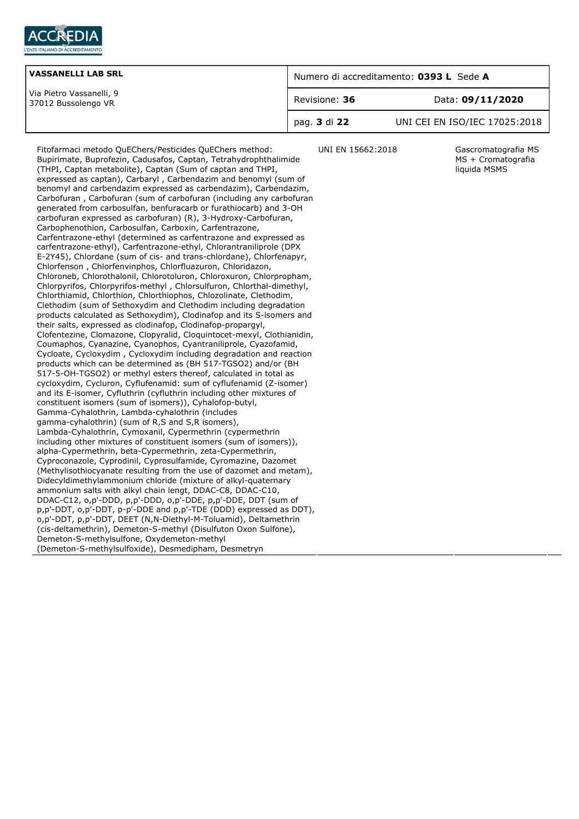

| <b>VASSANELLI LAB SRL</b>                       | Numero di accreditamento: 0393 L Sede A |                               |  |
|-------------------------------------------------|-----------------------------------------|-------------------------------|--|
| Via Pietro Vassanelli, 9<br>37012 Bussolengo VR | Revisione: 36                           | Data: 09/11/2020              |  |
|                                                 | pag. <b>3</b> di 22                     | UNI CEI EN ISO/IEC 17025:2018 |  |

Fitofarmaci metodo QuEChers/Pesticides QuEChers method: Bupirimate, Buprofezin, Cadusafos, Captan, Tetrahydrophthalimide (THPI, Captan metabolite), Captan (Sum of captan and THPI, expressed as captan), Carbaryl , Carbendazim and benomyl (sum of benomyl and carbendazim expressed as carbendazim), Carbendazim, Carbofuran , Carbofuran (sum of carbofuran (including any carbofuran generated from carbosulfan, benfuracarb or furathiocarb) and 3-OH carbofuran expressed as carbofuran) (R), 3-Hydroxy-Carbofuran, Carbophenothion, Carbosulfan, Carboxin, Carfentrazone, Carfentrazone-ethyl (determined as carfentrazone and expressed as carfentrazone-ethyl), Carfentrazone-ethyl, Chlorantraniliprole (DPX E-2Y45), Chlordane (sum of cis- and trans-chlordane), Chlorfenapyr, Chlorfenson , Chlorfenvinphos, Chlorfluazuron, Chloridazon, Chloroneb, Chlorothalonil, Chlorotoluron, Chloroxuron, Chlorpropham, Chlorpyrifos, Chlorpyrifos-methyl , Chlorsulfuron, Chlorthal-dimethyl, Chlorthiamid, Chlorthion, Chlorthiophos, Chlozolinate, Clethodim, Clethodim (sum of Sethoxydim and Clethodim including degradation products calculated as Sethoxydim), Clodinafop and its S-isomers and their salts, expressed as clodinafop, Clodinafop-propargyl, Clofentezine, Clomazone, Clopyralid, Cloquintocet-mexyl, Clothianidin, Coumaphos, Cyanazine, Cyanophos, Cyantraniliprole, Cyazofamid, Cycloate, Cycloxydim , Cycloxydim including degradation and reaction products which can be determined as (BH 517-TGSO2) and/or (BH 517-5-OH-TGSO2) or methyl esters thereof, calculated in total as cycloxydim, Cycluron, Cyflufenamid: sum of cyflufenamid (Z-isomer) and its E-isomer, Cyfluthrin (cyfluthrin including other mixtures of constituent isomers (sum of isomers)), Cyhalofop-butyl, Gamma-Cyhalothrin, Lambda-cyhalothrin (includes gamma-cyhalothrin) (sum of R,S and S,R isomers), Lambda-Cyhalothrin, Cymoxanil, Cypermethrin (cypermethrin including other mixtures of constituent isomers (sum of isomers)), alpha-Cypermethrin, beta-Cypermethrin, zeta-Cypermethrin, Cyproconazole, Cyprodinil, Cyprosulfamide, Cyromazine, Dazomet (Methylisothiocyanate resulting from the use of dazomet and metam), Didecyldimethylammonium chloride (mixture of alkyl-quaternary ammonium salts with alkyl chain lengt, DDAC-C8, DDAC-C10, DDAC-C12, o,p'-DDD, p,p'-DDD, o,p'-DDE, p,p'-DDE, DDT (sum of p,p'-DDT, o,p'-DDT, p-p'-DDE and p,p'-TDE (DDD) expressed as DDT), o,p'-DDT, p,p'-DDT, DEET (N,N-Diethyl-M-Toluamid), Deltamethrin (cis-deltamethrin), Demeton-S-methyl (Disulfuton Oxon Sulfone), Demeton-S-methylsulfone, Oxydemeton-methyl (Demeton-S-methylsulfoxide), Desmedipham, Desmetryn

UNI EN 15662:2018 Gascromatografia MS MS + Cromatografia liquida MSMS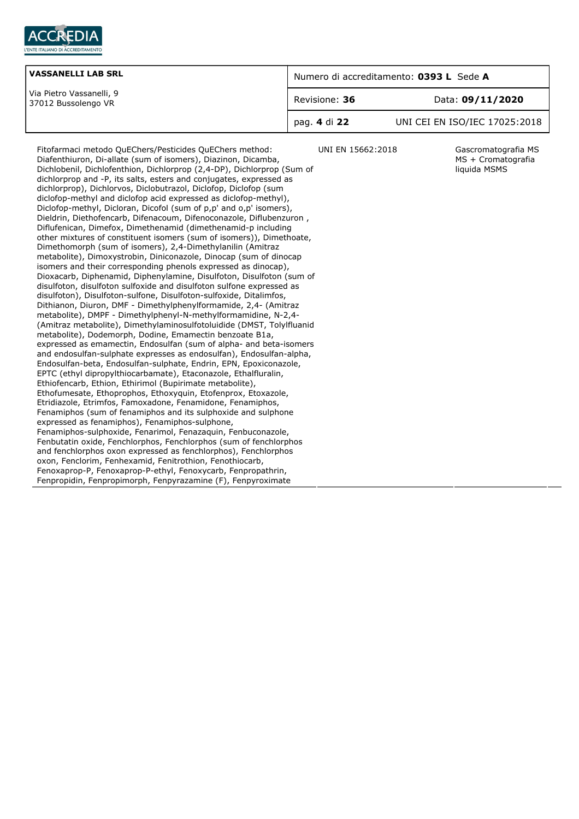

| <b>VASSANELLI LAB SRL</b>                       | Numero di accreditamento: 0393 L Sede A |                               |  |
|-------------------------------------------------|-----------------------------------------|-------------------------------|--|
| Via Pietro Vassanelli, 9<br>37012 Bussolengo VR | Revisione: 36                           | Data: 09/11/2020              |  |
|                                                 | pag. 4 di 22                            | UNI CEI EN ISO/IEC 17025:2018 |  |

Diafenthiuron, Di-allate (sum of isomers), Diazinon, Dicamba, Dichlobenil, Dichlofenthion, Dichlorprop (2,4-DP), Dichlorprop (Sum of dichlorprop and -P, its salts, esters and conjugates, expressed as dichlorprop), Dichlorvos, Diclobutrazol, Diclofop, Diclofop (sum diclofop-methyl and diclofop acid expressed as diclofop-methyl), Diclofop-methyl, Dicloran, Dicofol (sum of p,p' and o,p' isomers), Dieldrin, Diethofencarb, Difenacoum, Difenoconazole, Diflubenzuron , Diflufenican, Dimefox, Dimethenamid (dimethenamid-p including other mixtures of constituent isomers (sum of isomers)), Dimethoate, Dimethomorph (sum of isomers), 2,4-Dimethylanilin (Amitraz metabolite), Dimoxystrobin, Diniconazole, Dinocap (sum of dinocap isomers and their corresponding phenols expressed as dinocap), Dioxacarb, Diphenamid, Diphenylamine, Disulfoton, Disulfoton (sum of disulfoton, disulfoton sulfoxide and disulfoton sulfone expressed as disulfoton), Disulfoton-sulfone, Disulfoton-sulfoxide, Ditalimfos, Dithianon, Diuron, DMF - Dimethylphenylformamide, 2,4- (Amitraz metabolite), DMPF - Dimethylphenyl-N-methylformamidine, N-2,4- (Amitraz metabolite), Dimethylaminosulfotoluidide (DMST, Tolylfluanid metabolite), Dodemorph, Dodine, Emamectin benzoate B1a, expressed as emamectin, Endosulfan (sum of alpha- and beta-isomers and endosulfan-sulphate expresses as endosulfan), Endosulfan-alpha, Endosulfan-beta, Endosulfan-sulphate, Endrin, EPN, Epoxiconazole, EPTC (ethyl dipropylthiocarbamate), Etaconazole, Ethalfluralin, Ethiofencarb, Ethion, Ethirimol (Bupirimate metabolite), Ethofumesate, Ethoprophos, Ethoxyquin, Etofenprox, Etoxazole, Etridiazole, Etrimfos, Famoxadone, Fenamidone, Fenamiphos, Fenamiphos (sum of fenamiphos and its sulphoxide and sulphone expressed as fenamiphos), Fenamiphos-sulphone, Fenamiphos-sulphoxide, Fenarimol, Fenazaquin, Fenbuconazole, Fenbutatin oxide, Fenchlorphos, Fenchlorphos (sum of fenchlorphos and fenchlorphos oxon expressed as fenchlorphos), Fenchlorphos oxon, Fenclorim, Fenhexamid, Fenitrothion, Fenothiocarb, Fenoxaprop-P, Fenoxaprop-P-ethyl, Fenoxycarb, Fenpropathrin, Fenpropidin, Fenpropimorph, Fenpyrazamine (F), Fenpyroximate

Fitofarmaci metodo QuEChers/Pesticides QuEChers method:

UNI EN 15662:2018 Gascromatografia MS MS + Cromatografia liquida MSMS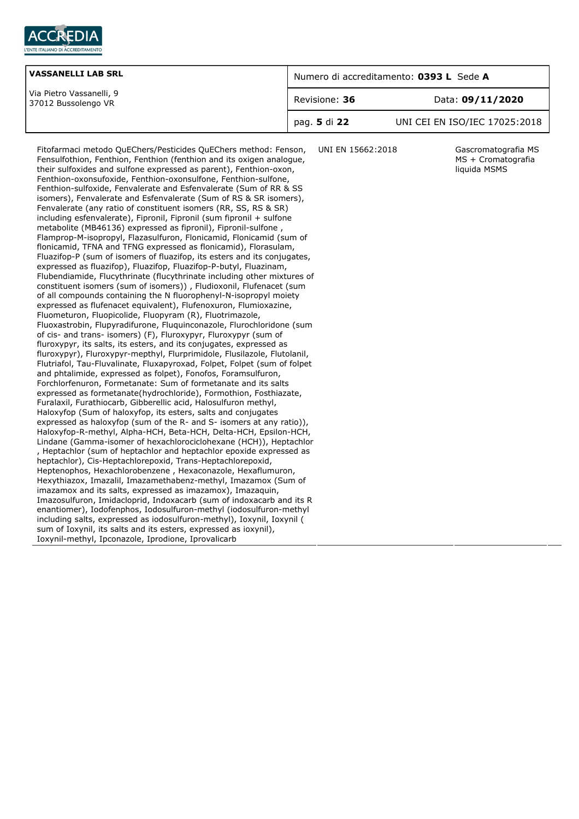

| <b>VASSANELLI LAB SRL</b>                       | Numero di accreditamento: 0393 L Sede A |                               |  |
|-------------------------------------------------|-----------------------------------------|-------------------------------|--|
| Via Pietro Vassanelli, 9<br>37012 Bussolengo VR | Revisione: 36                           | Data: 09/11/2020              |  |
|                                                 | pag. <b>5</b> di 22                     | UNI CEI EN ISO/IEC 17025:2018 |  |

Fitofarmaci metodo QuEChers/Pesticides QuEChers method: Fenson, Fensulfothion, Fenthion, Fenthion (fenthion and its oxigen analogue, their sulfoxides and sulfone expressed as parent), Fenthion-oxon, Fenthion-oxonsufoxide, Fenthion-oxonsulfone, Fenthion-sulfone, Fenthion-sulfoxide, Fenvalerate and Esfenvalerate (Sum of RR & SS isomers), Fenvalerate and Esfenvalerate (Sum of RS & SR isomers), Fenvalerate (any ratio of constituent isomers (RR, SS, RS & SR) including esfenvalerate), Fipronil, Fipronil (sum fipronil + sulfone metabolite (MB46136) expressed as fipronil), Fipronil-sulfone , Flamprop-M-isopropyl, Flazasulfuron, Flonicamid, Flonicamid (sum of flonicamid, TFNA and TFNG expressed as flonicamid), Florasulam, Fluazifop-P (sum of isomers of fluazifop, its esters and its conjugates, expressed as fluazifop), Fluazifop, Fluazifop-P-butyl, Fluazinam, Flubendiamide, Flucythrinate (flucythrinate including other mixtures of constituent isomers (sum of isomers)) , Fludioxonil, Flufenacet (sum of all compounds containing the N fluorophenyl-N-isopropyl moiety expressed as flufenacet equivalent), Flufenoxuron, Flumioxazine, Fluometuron, Fluopicolide, Fluopyram (R), Fluotrimazole, Fluoxastrobin, Flupyradifurone, Fluquinconazole, Flurochloridone (sum of cis- and trans- isomers) (F), Fluroxypyr, Fluroxypyr (sum of fluroxypyr, its salts, its esters, and its conjugates, expressed as fluroxypyr), Fluroxypyr-mepthyl, Flurprimidole, Flusilazole, Flutolanil, Flutriafol, Tau-Fluvalinate, Fluxapyroxad, Folpet, Folpet (sum of folpet and phtalimide, expressed as folpet), Fonofos, Foramsulfuron, Forchlorfenuron, Formetanate: Sum of formetanate and its salts expressed as formetanate(hydrochloride), Formothion, Fosthiazate, Furalaxil, Furathiocarb, Gibberellic acid, Halosulfuron methyl, Haloxyfop (Sum of haloxyfop, its esters, salts and conjugates expressed as haloxyfop (sum of the R- and S- isomers at any ratio)), Haloxyfop-R-methyl, Alpha-HCH, Beta-HCH, Delta-HCH, Epsilon-HCH, Lindane (Gamma-isomer of hexachlorociclohexane (HCH)), Heptachlor , Heptachlor (sum of heptachlor and heptachlor epoxide expressed as heptachlor), Cis-Heptachlorepoxid, Trans-Heptachlorepoxid, Heptenophos, Hexachlorobenzene , Hexaconazole, Hexaflumuron, Hexythiazox, Imazalil, Imazamethabenz-methyl, Imazamox (Sum of imazamox and its salts, expressed as imazamox), Imazaquin, Imazosulfuron, Imidacloprid, Indoxacarb (sum of indoxacarb and its R enantiomer), Iodofenphos, Iodosulfuron-methyl (iodosulfuron-methyl including salts, expressed as iodosulfuron-methyl), Ioxynil, Ioxynil ( sum of Ioxynil, its salts and its esters, expressed as ioxynil), Ioxynil-methyl, Ipconazole, Iprodione, Iprovalicarb

UNI EN 15662:2018 Gascromatografia MS MS + Cromatografia liquida MSMS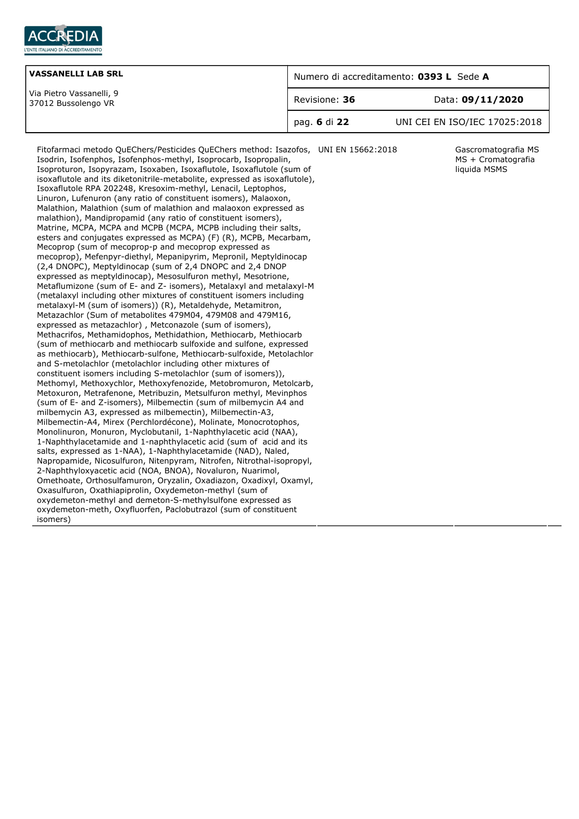

| <b>VASSANELLI LAB SRL</b>                       | Numero di accreditamento: 0393 L Sede A |                               |  |
|-------------------------------------------------|-----------------------------------------|-------------------------------|--|
| Via Pietro Vassanelli, 9<br>37012 Bussolengo VR | Revisione: 36                           | Data: 09/11/2020              |  |
|                                                 | pag. 6 di 22                            | UNI CEI EN ISO/IEC 17025:2018 |  |

Fitofarmaci metodo QuEChers/Pesticides QuEChers method: Isazofos, Isodrin, Isofenphos, Isofenphos-methyl, Isoprocarb, Isopropalin, Isoproturon, Isopyrazam, Isoxaben, Isoxaflutole, Isoxaflutole (sum of isoxaflutole and its diketonitrile-metabolite, expressed as isoxaflutole), Isoxaflutole RPA 202248, Kresoxim-methyl, Lenacil, Leptophos, Linuron, Lufenuron (any ratio of constituent isomers), Malaoxon, Malathion, Malathion (sum of malathion and malaoxon expressed as malathion), Mandipropamid (any ratio of constituent isomers), Matrine, MCPA, MCPA and MCPB (MCPA, MCPB including their salts, esters and conjugates expressed as MCPA) (F) (R), MCPB, Mecarbam, Mecoprop (sum of mecoprop-p and mecoprop expressed as mecoprop), Mefenpyr-diethyl, Mepanipyrim, Mepronil, Meptyldinocap (2,4 DNOPC), Meptyldinocap (sum of 2,4 DNOPC and 2,4 DNOP expressed as meptyldinocap), Mesosulfuron methyl, Mesotrione, Metaflumizone (sum of E- and Z- isomers), Metalaxyl and metalaxyl-M (metalaxyl including other mixtures of constituent isomers including metalaxyl-M (sum of isomers)) (R), Metaldehyde, Metamitron, Metazachlor (Sum of metabolites 479M04, 479M08 and 479M16, expressed as metazachlor) , Metconazole (sum of isomers), Methacrifos, Methamidophos, Methidathion, Methiocarb, Methiocarb (sum of methiocarb and methiocarb sulfoxide and sulfone, expressed as methiocarb), Methiocarb-sulfone, Methiocarb-sulfoxide, Metolachlor and S-metolachlor (metolachlor including other mixtures of constituent isomers including S-metolachlor (sum of isomers)), Methomyl, Methoxychlor, Methoxyfenozide, Metobromuron, Metolcarb, Metoxuron, Metrafenone, Metribuzin, Metsulfuron methyl, Mevinphos (sum of E- and Z-isomers), Milbemectin (sum of milbemycin A4 and milbemycin A3, expressed as milbemectin), Milbemectin-A3, Milbemectin-A4, Mirex (Perchlordécone), Molinate, Monocrotophos, Monolinuron, Monuron, Myclobutanil, 1-Naphthylacetic acid (NAA), 1-Naphthylacetamide and 1-naphthylacetic acid (sum of acid and its salts, expressed as 1-NAA), 1-Naphthylacetamide (NAD), Naled, Napropamide, Nicosulfuron, Nitenpyram, Nitrofen, Nitrothal-isopropyl, 2-Naphthyloxyacetic acid (NOA, BNOA), Novaluron, Nuarimol, Omethoate, Orthosulfamuron, Oryzalin, Oxadiazon, Oxadixyl, Oxamyl, Oxasulfuron, Oxathiapiprolin, Oxydemeton-methyl (sum of oxydemeton-methyl and demeton-S-methylsulfone expressed as oxydemeton-meth, Oxyfluorfen, Paclobutrazol (sum of constituent isomers)

Gascromatografia MS MS + Cromatografia liquida MSMS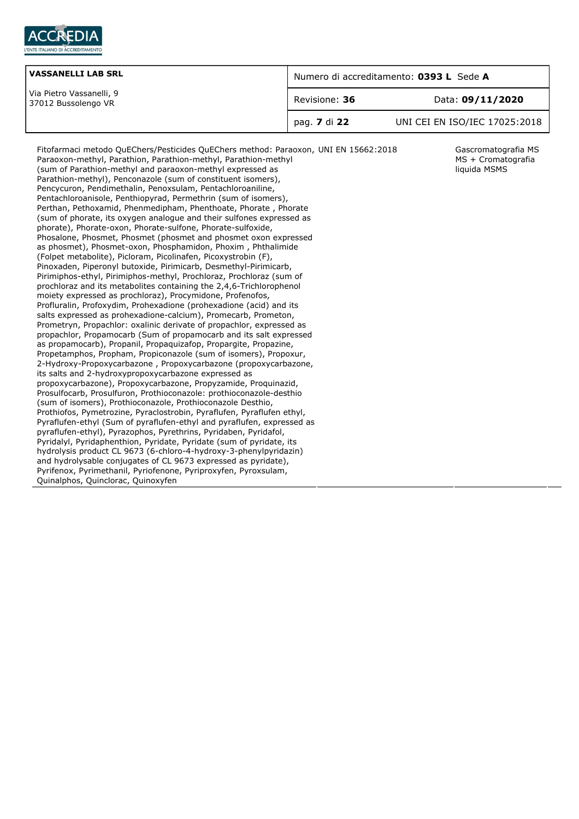

| <b>VASSANELLI LAB SRL</b>                       | Numero di accreditamento: 0393 L Sede A |                               |  |
|-------------------------------------------------|-----------------------------------------|-------------------------------|--|
| Via Pietro Vassanelli, 9<br>37012 Bussolengo VR | Revisione: 36                           | Data: 09/11/2020              |  |
|                                                 | `pag. <b>7</b> di 22                    | UNI CEI EN ISO/IEC 17025:2018 |  |

Gascromatografia MS MS + Cromatografia liquida MSMS

Fitofarmaci metodo QuEChers/Pesticides QuEChers method: Paraoxon, Paraoxon-methyl, Parathion, Parathion-methyl, Parathion-methyl (sum of Parathion-methyl and paraoxon-methyl expressed as Parathion-methyl), Penconazole (sum of constituent isomers), Pencycuron, Pendimethalin, Penoxsulam, Pentachloroaniline, Pentachloroanisole, Penthiopyrad, Permethrin (sum of isomers), Perthan, Pethoxamid, Phenmedipham, Phenthoate, Phorate , Phorate (sum of phorate, its oxygen analogue and their sulfones expressed as phorate), Phorate-oxon, Phorate-sulfone, Phorate-sulfoxide, Phosalone, Phosmet, Phosmet (phosmet and phosmet oxon expressed as phosmet), Phosmet-oxon, Phosphamidon, Phoxim , Phthalimide (Folpet metabolite), Picloram, Picolinafen, Picoxystrobin (F), Pinoxaden, Piperonyl butoxide, Pirimicarb, Desmethyl-Pirimicarb, Pirimiphos-ethyl, Pirimiphos-methyl, Prochloraz, Prochloraz (sum of prochloraz and its metabolites containing the 2,4,6-Trichlorophenol moiety expressed as prochloraz), Procymidone, Profenofos, Profluralin, Profoxydim, Prohexadione (prohexadione (acid) and its salts expressed as prohexadione-calcium), Promecarb, Prometon, Prometryn, Propachlor: oxalinic derivate of propachlor, expressed as propachlor, Propamocarb (Sum of propamocarb and its salt expressed as propamocarb), Propanil, Propaquizafop, Propargite, Propazine, Propetamphos, Propham, Propiconazole (sum of isomers), Propoxur, 2-Hydroxy-Propoxycarbazone , Propoxycarbazone (propoxycarbazone, its salts and 2-hydroxypropoxycarbazone expressed as propoxycarbazone), Propoxycarbazone, Propyzamide, Proquinazid, Prosulfocarb, Prosulfuron, Prothioconazole: prothioconazole-desthio (sum of isomers), Prothioconazole, Prothioconazole Desthio, Prothiofos, Pymetrozine, Pyraclostrobin, Pyraflufen, Pyraflufen ethyl, Pyraflufen-ethyl (Sum of pyraflufen-ethyl and pyraflufen, expressed as pyraflufen-ethyl), Pyrazophos, Pyrethrins, Pyridaben, Pyridafol, Pyridalyl, Pyridaphenthion, Pyridate, Pyridate (sum of pyridate, its hydrolysis product CL 9673 (6-chloro-4-hydroxy-3-phenylpyridazin) and hydrolysable conjugates of CL 9673 expressed as pyridate), Pyrifenox, Pyrimethanil, Pyriofenone, Pyriproxyfen, Pyroxsulam, Quinalphos, Quinclorac, Quinoxyfen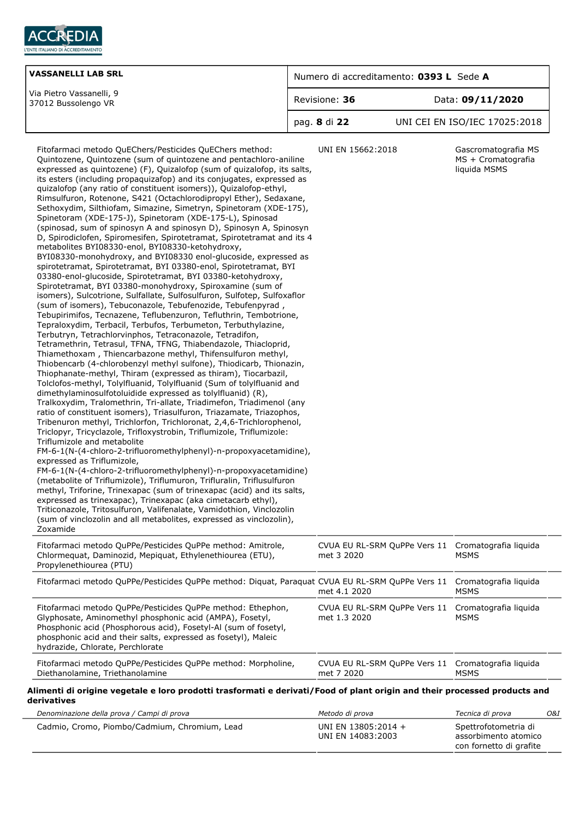

| <b>VASSANELLI LAB SRL</b>                       | Numero di accreditamento: 0393 L Sede A |                               |  |
|-------------------------------------------------|-----------------------------------------|-------------------------------|--|
| Via Pietro Vassanelli, 9<br>37012 Bussolengo VR | Revisione: 36                           | Data: 09/11/2020              |  |
|                                                 | pag. 8 di 22                            | UNI CEI EN ISO/IEC 17025:2018 |  |
|                                                 |                                         |                               |  |

| Fitofarmaci metodo QuEChers/Pesticides QuEChers method:<br>Quintozene, Quintozene (sum of quintozene and pentachloro-aniline<br>expressed as quintozene) (F), Quizalofop (sum of quizalofop, its salts,<br>its esters (including propaquizafop) and its conjugates, expressed as<br>quizalofop (any ratio of constituent isomers)), Quizalofop-ethyl,<br>Rimsulfuron, Rotenone, S421 (Octachlorodipropyl Ether), Sedaxane,<br>Sethoxydim, Silthiofam, Simazine, Simetryn, Spinetoram (XDE-175),<br>Spinetoram (XDE-175-J), Spinetoram (XDE-175-L), Spinosad<br>(spinosad, sum of spinosyn A and spinosyn D), Spinosyn A, Spinosyn<br>D, Spirodiclofen, Spiromesifen, Spirotetramat, Spirotetramat and its 4<br>metabolites BYI08330-enol, BYI08330-ketohydroxy,<br>BYI08330-monohydroxy, and BYI08330 enol-glucoside, expressed as<br>spirotetramat, Spirotetramat, BYI 03380-enol, Spirotetramat, BYI<br>03380-enol-glucoside, Spirotetramat, BYI 03380-ketohydroxy,<br>Spirotetramat, BYI 03380-monohydroxy, Spiroxamine (sum of<br>isomers), Sulcotrione, Sulfallate, Sulfosulfuron, Sulfotep, Sulfoxaflor<br>(sum of isomers), Tebuconazole, Tebufenozide, Tebufenpyrad,<br>Tebupirimifos, Tecnazene, Teflubenzuron, Tefluthrin, Tembotrione,<br>Tepraloxydim, Terbacil, Terbufos, Terbumeton, Terbuthylazine,<br>Terbutryn, Tetrachlorvinphos, Tetraconazole, Tetradifon,<br>Tetramethrin, Tetrasul, TFNA, TFNG, Thiabendazole, Thiacloprid,<br>Thiamethoxam, Thiencarbazone methyl, Thifensulfuron methyl,<br>Thiobencarb (4-chlorobenzyl methyl sulfone), Thiodicarb, Thionazin,<br>Thiophanate-methyl, Thiram (expressed as thiram), Tiocarbazil,<br>Tolclofos-methyl, Tolylfluanid, Tolylfluanid (Sum of tolylfluanid and<br>dimethylaminosulfotoluidide expressed as tolylfluanid) (R),<br>Tralkoxydim, Tralomethrin, Tri-allate, Triadimefon, Triadimenol (any<br>ratio of constituent isomers), Triasulfuron, Triazamate, Triazophos,<br>Tribenuron methyl, Trichlorfon, Trichloronat, 2,4,6-Trichlorophenol,<br>Triclopyr, Tricyclazole, Trifloxystrobin, Triflumizole, Triflumizole:<br>Triflumizole and metabolite<br>FM-6-1(N-(4-chloro-2-trifluoromethylphenyl)-n-propoxyacetamidine),<br>expressed as Triflumizole,<br>FM-6-1(N-(4-chloro-2-trifluoromethylphenyl)-n-propoxyacetamidine)<br>(metabolite of Triflumizole), Triflumuron, Trifluralin, Triflusulfuron<br>methyl, Triforine, Trinexapac (sum of trinexapac (acid) and its salts,<br>expressed as trinexapac), Trinexapac (aka cimetacarb ethyl),<br>Triticonazole, Tritosulfuron, Valifenalate, Vamidothion, Vinclozolin<br>(sum of vinclozolin and all metabolites, expressed as vinclozolin),<br>Zoxamide | UNI EN 15662:2018                                                | Gascromatografia MS<br>MS + Cromatografia<br>liquida MSMS |     |
|-------------------------------------------------------------------------------------------------------------------------------------------------------------------------------------------------------------------------------------------------------------------------------------------------------------------------------------------------------------------------------------------------------------------------------------------------------------------------------------------------------------------------------------------------------------------------------------------------------------------------------------------------------------------------------------------------------------------------------------------------------------------------------------------------------------------------------------------------------------------------------------------------------------------------------------------------------------------------------------------------------------------------------------------------------------------------------------------------------------------------------------------------------------------------------------------------------------------------------------------------------------------------------------------------------------------------------------------------------------------------------------------------------------------------------------------------------------------------------------------------------------------------------------------------------------------------------------------------------------------------------------------------------------------------------------------------------------------------------------------------------------------------------------------------------------------------------------------------------------------------------------------------------------------------------------------------------------------------------------------------------------------------------------------------------------------------------------------------------------------------------------------------------------------------------------------------------------------------------------------------------------------------------------------------------------------------------------------------------------------------------------------------------------------------------------------------------------------------------------------------------------------------------------------------------------------------------------------------------------------------------------------------------------------------------------------|------------------------------------------------------------------|-----------------------------------------------------------|-----|
| Fitofarmaci metodo QuPPe/Pesticides QuPPe method: Amitrole,<br>Chlormequat, Daminozid, Mepiquat, Ethylenethiourea (ETU),<br>Propylenethiourea (PTU)                                                                                                                                                                                                                                                                                                                                                                                                                                                                                                                                                                                                                                                                                                                                                                                                                                                                                                                                                                                                                                                                                                                                                                                                                                                                                                                                                                                                                                                                                                                                                                                                                                                                                                                                                                                                                                                                                                                                                                                                                                                                                                                                                                                                                                                                                                                                                                                                                                                                                                                                       | CVUA EU RL-SRM QuPPe Vers 11 Cromatografia liquida<br>met 3 2020 | MSMS                                                      |     |
| Fitofarmaci metodo QuPPe/Pesticides QuPPe method: Diquat, Paraquat CVUA EU RL-SRM QuPPe Vers 11 Cromatografia liquida                                                                                                                                                                                                                                                                                                                                                                                                                                                                                                                                                                                                                                                                                                                                                                                                                                                                                                                                                                                                                                                                                                                                                                                                                                                                                                                                                                                                                                                                                                                                                                                                                                                                                                                                                                                                                                                                                                                                                                                                                                                                                                                                                                                                                                                                                                                                                                                                                                                                                                                                                                     | met 4.1 2020                                                     | <b>MSMS</b>                                               |     |
| Fitofarmaci metodo QuPPe/Pesticides QuPPe method: Ethephon,<br>Glyphosate, Aminomethyl phosphonic acid (AMPA), Fosetyl,<br>Phosphonic acid (Phosphorous acid), Fosetyl-Al (sum of fosetyl,<br>phosphonic acid and their salts, expressed as fosetyl), Maleic<br>hydrazide, Chlorate, Perchlorate                                                                                                                                                                                                                                                                                                                                                                                                                                                                                                                                                                                                                                                                                                                                                                                                                                                                                                                                                                                                                                                                                                                                                                                                                                                                                                                                                                                                                                                                                                                                                                                                                                                                                                                                                                                                                                                                                                                                                                                                                                                                                                                                                                                                                                                                                                                                                                                          | CVUA EU RL-SRM QuPPe Vers 11<br>met 1.3 2020                     | Cromatografia liguida<br><b>MSMS</b>                      |     |
| Fitofarmaci metodo QuPPe/Pesticides QuPPe method: Morpholine,<br>Diethanolamine, Triethanolamine                                                                                                                                                                                                                                                                                                                                                                                                                                                                                                                                                                                                                                                                                                                                                                                                                                                                                                                                                                                                                                                                                                                                                                                                                                                                                                                                                                                                                                                                                                                                                                                                                                                                                                                                                                                                                                                                                                                                                                                                                                                                                                                                                                                                                                                                                                                                                                                                                                                                                                                                                                                          | CVUA EU RL-SRM QuPPe Vers 11<br>met 7 2020                       | Cromatografia liquida<br>MSMS                             |     |
| Alimenti di origine vegetale e loro prodotti trasformati e derivati/Food of plant origin and their processed products and<br>derivatives                                                                                                                                                                                                                                                                                                                                                                                                                                                                                                                                                                                                                                                                                                                                                                                                                                                                                                                                                                                                                                                                                                                                                                                                                                                                                                                                                                                                                                                                                                                                                                                                                                                                                                                                                                                                                                                                                                                                                                                                                                                                                                                                                                                                                                                                                                                                                                                                                                                                                                                                                  |                                                                  |                                                           |     |
| Denominazione della prova / Campi di prova                                                                                                                                                                                                                                                                                                                                                                                                                                                                                                                                                                                                                                                                                                                                                                                                                                                                                                                                                                                                                                                                                                                                                                                                                                                                                                                                                                                                                                                                                                                                                                                                                                                                                                                                                                                                                                                                                                                                                                                                                                                                                                                                                                                                                                                                                                                                                                                                                                                                                                                                                                                                                                                | Metodo di prova                                                  | Tecnica di prova                                          | O&I |
| Cadmio, Cromo, Piombo/Cadmium, Chromium, Lead                                                                                                                                                                                                                                                                                                                                                                                                                                                                                                                                                                                                                                                                                                                                                                                                                                                                                                                                                                                                                                                                                                                                                                                                                                                                                                                                                                                                                                                                                                                                                                                                                                                                                                                                                                                                                                                                                                                                                                                                                                                                                                                                                                                                                                                                                                                                                                                                                                                                                                                                                                                                                                             | UNI EN 13805:2014 +<br>UNI EN 14083:2003                         | Spettrofotometria di<br>assorbimento atomico              |     |

con fornetto di grafite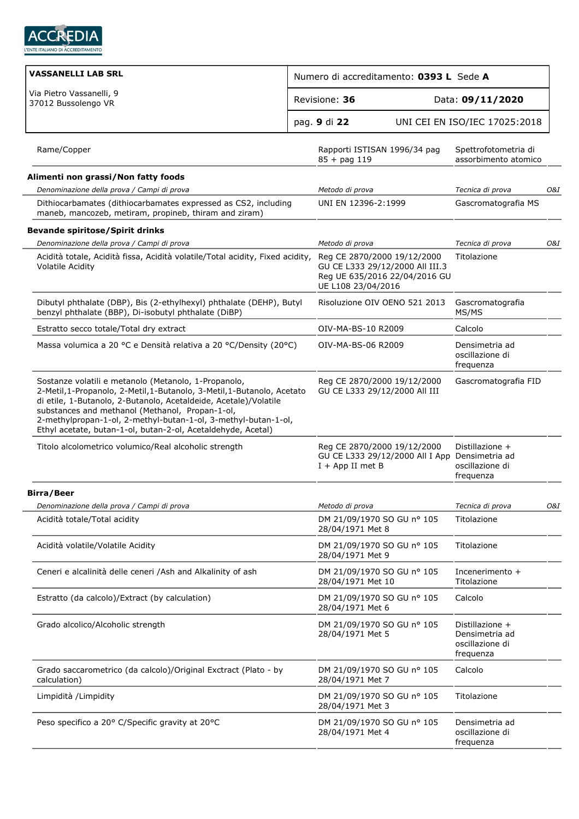

| <b>VASSANELLI LAB SRL</b>                                                                                                                                                                                                                                                                                                                                                                |                                                              | Numero di accreditamento: 0393 L Sede A                          |                                                                   |     |
|------------------------------------------------------------------------------------------------------------------------------------------------------------------------------------------------------------------------------------------------------------------------------------------------------------------------------------------------------------------------------------------|--------------------------------------------------------------|------------------------------------------------------------------|-------------------------------------------------------------------|-----|
| Via Pietro Vassanelli, 9<br>37012 Bussolengo VR                                                                                                                                                                                                                                                                                                                                          | Revisione: 36                                                |                                                                  | Data: 09/11/2020                                                  |     |
|                                                                                                                                                                                                                                                                                                                                                                                          | pag. 9 di 22                                                 |                                                                  | UNI CEI EN ISO/IEC 17025:2018                                     |     |
| Rame/Copper                                                                                                                                                                                                                                                                                                                                                                              | Rapporti ISTISAN 1996/34 pag<br>$85 + pag 119$               |                                                                  | Spettrofotometria di<br>assorbimento atomico                      |     |
| Alimenti non grassi/Non fatty foods                                                                                                                                                                                                                                                                                                                                                      |                                                              |                                                                  |                                                                   |     |
| Denominazione della prova / Campi di prova                                                                                                                                                                                                                                                                                                                                               | Metodo di prova                                              |                                                                  | Tecnica di prova                                                  | O&I |
| Dithiocarbamates (dithiocarbamates expressed as CS2, including<br>maneb, mancozeb, metiram, propineb, thiram and ziram)                                                                                                                                                                                                                                                                  | UNI EN 12396-2:1999                                          |                                                                  | Gascromatografia MS                                               |     |
| <b>Bevande spiritose/Spirit drinks</b>                                                                                                                                                                                                                                                                                                                                                   |                                                              |                                                                  |                                                                   |     |
| Denominazione della prova / Campi di prova                                                                                                                                                                                                                                                                                                                                               | Metodo di prova                                              |                                                                  | Tecnica di prova                                                  | O&I |
| Acidità totale, Acidità fissa, Acidità volatile/Total acidity, Fixed acidity,<br><b>Volatile Acidity</b>                                                                                                                                                                                                                                                                                 | Reg CE 2870/2000 19/12/2000<br>UE L108 23/04/2016            | GU CE L333 29/12/2000 All III.3<br>Reg UE 635/2016 22/04/2016 GU | Titolazione                                                       |     |
| Dibutyl phthalate (DBP), Bis (2-ethylhexyl) phthalate (DEHP), Butyl<br>benzyl phthalate (BBP), Di-isobutyl phthalate (DiBP)                                                                                                                                                                                                                                                              |                                                              | Risoluzione OIV OENO 521 2013                                    | Gascromatografia<br>MS/MS                                         |     |
| Estratto secco totale/Total dry extract                                                                                                                                                                                                                                                                                                                                                  | OIV-MA-BS-10 R2009                                           |                                                                  | Calcolo                                                           |     |
| Massa volumica a 20 °C e Densità relativa a 20 °C/Density (20°C)                                                                                                                                                                                                                                                                                                                         | OIV-MA-BS-06 R2009                                           |                                                                  | Densimetria ad<br>oscillazione di<br>frequenza                    |     |
| Sostanze volatili e metanolo (Metanolo, 1-Propanolo,<br>2-Metil, 1-Propanolo, 2-Metil, 1-Butanolo, 3-Metil, 1-Butanolo, Acetato<br>di etile, 1-Butanolo, 2-Butanolo, Acetaldeide, Acetale)/Volatile<br>substances and methanol (Methanol, Propan-1-ol,<br>2-methylpropan-1-ol, 2-methyl-butan-1-ol, 3-methyl-butan-1-ol,<br>Ethyl acetate, butan-1-ol, butan-2-ol, Acetaldehyde, Acetal) | Reg CE 2870/2000 19/12/2000<br>GU CE L333 29/12/2000 All III |                                                                  | Gascromatografia FID                                              |     |
| Titolo alcolometrico volumico/Real alcoholic strength                                                                                                                                                                                                                                                                                                                                    | Reg CE 2870/2000 19/12/2000<br>$I + App II$ met B            | GU CE L333 29/12/2000 All I App Densimetria ad                   | Distillazione +<br>oscillazione di<br>frequenza                   |     |
| <b>Birra/Beer</b>                                                                                                                                                                                                                                                                                                                                                                        |                                                              |                                                                  |                                                                   |     |
| Denominazione della prova / Campi di prova                                                                                                                                                                                                                                                                                                                                               | Metodo di prova                                              |                                                                  | Tecnica di prova                                                  | O&I |
| Acidità totale/Total acidity                                                                                                                                                                                                                                                                                                                                                             | DM 21/09/1970 SO GU nº 105<br>28/04/1971 Met 8               |                                                                  | Titolazione                                                       |     |
| Acidità volatile/Volatile Acidity                                                                                                                                                                                                                                                                                                                                                        | DM 21/09/1970 SO GU nº 105<br>28/04/1971 Met 9               |                                                                  | Titolazione                                                       |     |
| Ceneri e alcalinità delle ceneri /Ash and Alkalinity of ash                                                                                                                                                                                                                                                                                                                              | DM 21/09/1970 SO GU nº 105<br>28/04/1971 Met 10              |                                                                  | Incenerimento +<br>Titolazione                                    |     |
| Estratto (da calcolo)/Extract (by calculation)                                                                                                                                                                                                                                                                                                                                           | DM 21/09/1970 SO GU nº 105<br>28/04/1971 Met 6               |                                                                  | Calcolo                                                           |     |
| Grado alcolico/Alcoholic strength                                                                                                                                                                                                                                                                                                                                                        | DM 21/09/1970 SO GU nº 105<br>28/04/1971 Met 5               |                                                                  | Distillazione +<br>Densimetria ad<br>oscillazione di<br>frequenza |     |
| Grado saccarometrico (da calcolo)/Original Exctract (Plato - by<br>calculation)                                                                                                                                                                                                                                                                                                          | DM 21/09/1970 SO GU nº 105<br>28/04/1971 Met 7               |                                                                  | Calcolo                                                           |     |
| Limpidità /Limpidity                                                                                                                                                                                                                                                                                                                                                                     | DM 21/09/1970 SO GU nº 105<br>28/04/1971 Met 3               |                                                                  | Titolazione                                                       |     |
| Peso specifico a 20° C/Specific gravity at 20°C                                                                                                                                                                                                                                                                                                                                          | DM 21/09/1970 SO GU nº 105<br>28/04/1971 Met 4               |                                                                  | Densimetria ad<br>oscillazione di<br>frequenza                    |     |
|                                                                                                                                                                                                                                                                                                                                                                                          |                                                              |                                                                  |                                                                   |     |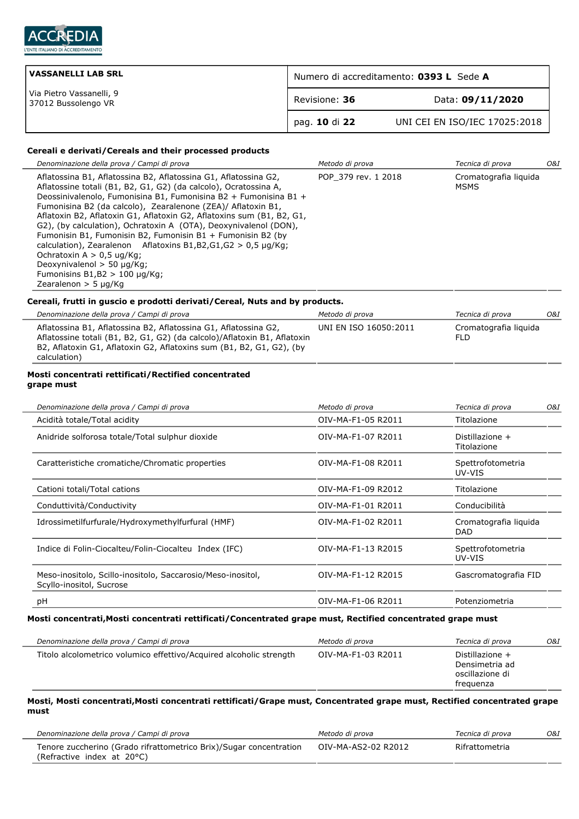

L.

| <b>VASSANELLI LAB SRL</b>                       | Numero di accreditamento: 0393 L Sede A |                               |
|-------------------------------------------------|-----------------------------------------|-------------------------------|
| Via Pietro Vassanelli, 9<br>37012 Bussolengo VR | Revisione: 36                           | Data: 09/11/2020              |
|                                                 | pag. 10 di 22                           | UNI CEI EN ISO/IEC 17025:2018 |

## **Cereali e derivati/Cereals and their processed products**

| Denominazione della prova / Campi di prova                                                                                                                                                                                                                                                                                                                                                                                                                                                                                                                                                                                                                                                   | Metodo di prova        | Tecnica di prova                     | O&I |
|----------------------------------------------------------------------------------------------------------------------------------------------------------------------------------------------------------------------------------------------------------------------------------------------------------------------------------------------------------------------------------------------------------------------------------------------------------------------------------------------------------------------------------------------------------------------------------------------------------------------------------------------------------------------------------------------|------------------------|--------------------------------------|-----|
| Aflatossina B1, Aflatossina B2, Aflatossina G1, Aflatossina G2,<br>Aflatossine totali (B1, B2, G1, G2) (da calcolo), Ocratossina A,<br>Deossinivalenolo, Fumonisina B1, Fumonisina B2 + Fumonisina B1 +<br>Fumonisina B2 (da calcolo), Zearalenone (ZEA)/ Aflatoxin B1,<br>Aflatoxin B2, Aflatoxin G1, Aflatoxin G2, Aflatoxins sum (B1, B2, G1,<br>G2), (by calculation), Ochratoxin A (OTA), Deoxynivalenol (DON),<br>Fumonisin B1, Fumonisin B2, Fumonisin B1 + Fumonisin B2 (by<br>calculation), Zearalenon Aflatoxins B1, B2, G1, G2 $> 0.5 \mu q/Kq$ ;<br>Ochratoxin $A > 0.5$ ug/Kg;<br>Deoxynivalenol $>$ 50 µg/Kg;<br>Fumonisins $B1,B2 > 100 \mu q/Kq$ ;<br>Zearalenon $>$ 5 µg/Kg | POP 379 rev. 1 2018    | Cromatografia liguida<br><b>MSMS</b> |     |
| Cereali, frutti in quscio e prodotti derivati/Cereal, Nuts and by products.                                                                                                                                                                                                                                                                                                                                                                                                                                                                                                                                                                                                                  |                        |                                      |     |
| Denominazione della prova / Campi di prova                                                                                                                                                                                                                                                                                                                                                                                                                                                                                                                                                                                                                                                   | Metodo di prova        | Tecnica di prova                     | O&I |
| Aflatoccina R1 Aflatoccina R2 Aflatoccina G1 Aflatoccina G2                                                                                                                                                                                                                                                                                                                                                                                                                                                                                                                                                                                                                                  | IINITEN ISO 16050.2011 | Cromatografia liquida                |     |

| Aflatossina B1, Aflatossina B2, Aflatossina G1, Aflatossina G2,          | UNI EN ISO 16050:2011 | -Cromatografia liquida |
|--------------------------------------------------------------------------|-----------------------|------------------------|
| Aflatossine totali (B1, B2, G1, G2) (da calcolo)/Aflatoxin B1, Aflatoxin |                       | FLD.                   |
| B2, Aflatoxin G1, Aflatoxin G2, Aflatoxins sum (B1, B2, G1, G2), (by     |                       |                        |
| calculation)                                                             |                       |                        |

#### **Mosti concentrati rettificati/Rectified concentrated grape must**

| Denominazione della prova / Campi di prova                                              | Metodo di prova    | Tecnica di prova<br>O&I             |
|-----------------------------------------------------------------------------------------|--------------------|-------------------------------------|
| Acidità totale/Total acidity                                                            | OIV-MA-F1-05 R2011 | Titolazione                         |
| Anidride solforosa totale/Total sulphur dioxide                                         | OIV-MA-F1-07 R2011 | Distillazione +<br>Titolazione      |
| Caratteristiche cromatiche/Chromatic properties                                         | OIV-MA-F1-08 R2011 | Spettrofotometria<br>UV-VIS         |
| Cationi totali/Total cations                                                            | OIV-MA-F1-09 R2012 | Titolazione                         |
| Conduttività/Conductivity                                                               | OIV-MA-F1-01 R2011 | Conducibilità                       |
| Idrossimetilfurfurale/Hydroxymethylfurfural (HMF)                                       | OIV-MA-F1-02 R2011 | Cromatografia liguida<br><b>DAD</b> |
| Indice di Folin-Ciocalteu/Folin-Ciocalteu Index (IFC)                                   | OIV-MA-F1-13 R2015 | Spettrofotometria<br>UV-VIS         |
| Meso-inositolo, Scillo-inositolo, Saccarosio/Meso-inositol,<br>Scyllo-inositol, Sucrose | OIV-MA-F1-12 R2015 | Gascromatografia FID                |
| рH                                                                                      | OIV-MA-F1-06 R2011 | Potenziometria                      |

## **Mosti concentrati,Mosti concentrati rettificati/Concentrated grape must, Rectified concentrated grape must**

| Denominazione della prova / Campi di prova                          | Metodo di prova    | Tecnica di prova                                                  | 0&I |
|---------------------------------------------------------------------|--------------------|-------------------------------------------------------------------|-----|
| Titolo alcolometrico volumico effettivo/Acquired alcoholic strength | OIV-MA-F1-03 R2011 | Distillazione +<br>Densimetria ad<br>oscillazione di<br>freguenza |     |

#### **Mosti, Mosti concentrati,Mosti concentrati rettificati/Grape must, Concentrated grape must, Rectified concentrated grape must**

| Denominazione della prova / Campi di prova                                                       | Metodo di prova     | Tecnica di prova | O&I . |
|--------------------------------------------------------------------------------------------------|---------------------|------------------|-------|
| Tenore zuccherino (Grado rifrattometrico Brix)/Sugar concentration<br>(Refractive index at 20°C) | OIV-MA-AS2-02 R2012 | Rifrattometria   |       |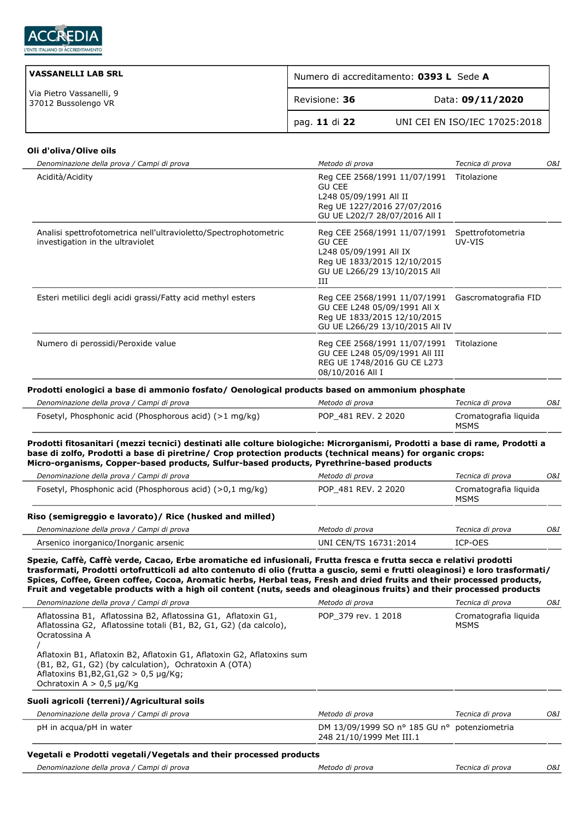

| <b>VASSANELLI LAB SRL</b>                       | Numero di accreditamento: 0393 L Sede A |                               |  |
|-------------------------------------------------|-----------------------------------------|-------------------------------|--|
| Via Pietro Vassanelli, 9<br>37012 Bussolengo VR | Revisione: 36                           | Data: 09/11/2020              |  |
|                                                 | ` pag. 11 di 22                         | UNI CEI EN ISO/IEC 17025:2018 |  |

#### **Oli d'oliva/Olive oils**

| Denominazione della prova / Campi di prova                                                           | Metodo di prova                                                                                                                             | Tecnica di prova<br>O&I     |     |
|------------------------------------------------------------------------------------------------------|---------------------------------------------------------------------------------------------------------------------------------------------|-----------------------------|-----|
| Acidità/Acidity                                                                                      | Reg CEE 2568/1991 11/07/1991<br><b>GU CEE</b><br>L248 05/09/1991 All II<br>Reg UE 1227/2016 27/07/2016<br>GU UE L202/7 28/07/2016 All I     | Titolazione                 |     |
| Analisi spettrofotometrica nell'ultravioletto/Spectrophotometric<br>investigation in the ultraviolet | Reg CEE 2568/1991 11/07/1991<br><b>GU CEE</b><br>L248 05/09/1991 All IX<br>Reg UE 1833/2015 12/10/2015<br>GU UE L266/29 13/10/2015 All<br>Ш | Spettrofotometria<br>UV-VIS |     |
| Esteri metilici degli acidi grassi/Fatty acid methyl esters                                          | Reg CEE 2568/1991 11/07/1991<br>GU CEE L248 05/09/1991 All X<br>Reg UE 1833/2015 12/10/2015<br>GU UE L266/29 13/10/2015 All IV              | Gascromatografia FID        |     |
| Numero di perossidi/Peroxide value                                                                   | Reg CEE 2568/1991 11/07/1991<br>GU CEE L248 05/09/1991 All III<br>REG UE 1748/2016 GU CE L273<br>08/10/2016 All I                           | Titolazione                 |     |
| Prodotti enologici a base di ammonio fosfato/ Oenological products based on ammonium phosphate       |                                                                                                                                             |                             |     |
| Denominazione della prova / Campi di prova                                                           | Metodo di prova                                                                                                                             | Tecnica di prova            | O&I |
| Fosetyl, Phosphonic acid (Phosphorous acid) (>1 mg/kg)                                               | POP 481 REV, 2 2020                                                                                                                         | Cromatografia liguida       |     |

**Prodotti fitosanitari (mezzi tecnici) destinati alle colture biologiche: Microrganismi, Prodotti a base di rame, Prodotti a base di zolfo, Prodotti a base di piretrine/ Crop protection products (technical means) for organic crops: Micro-organisms, Copper-based products, Sulfur-based products, Pyrethrine-based products**

MSMS

| Denominazione della prova / Campi di prova               | Metodo di prova       | Tecnica di prova              | O&I |
|----------------------------------------------------------|-----------------------|-------------------------------|-----|
| Fosetyl, Phosphonic acid (Phosphorous acid) (>0,1 mg/kg) | POP 481 REV. 2 2020   | Cromatografia liguida<br>MSMS |     |
| Riso (semigreggio e lavorato)/ Rice (husked and milled)  |                       |                               |     |
| Denominazione della prova / Campi di prova               | Metodo di prova       | Tecnica di prova              | O&I |
| Arsenico inorganico/Inorganic arsenic                    | UNI CEN/TS 16731:2014 | ICP-OES                       |     |

**Spezie, Caffè, Caffè verde, Cacao, Erbe aromatiche ed infusionali, Frutta fresca e frutta secca e relativi prodotti trasformati, Prodotti ortofrutticoli ad alto contenuto di olio (frutta a guscio, semi e frutti oleaginosi) e loro trasformati/ Spices, Coffee, Green coffee, Cocoa, Aromatic herbs, Herbal teas, Fresh and dried fruits and their processed products, Fruit and vegetable products with a high oil content (nuts, seeds and oleaginous fruits) and their processed products**

| Denominazione della prova / Campi di prova                                                                                                          | Metodo di prova                                                          |                                      | O&I |
|-----------------------------------------------------------------------------------------------------------------------------------------------------|--------------------------------------------------------------------------|--------------------------------------|-----|
| Aflatossina B1, Aflatossina B2, Aflatossina G1, Aflatoxin G1,<br>Aflatossina G2, Aflatossine totali (B1, B2, G1, G2) (da calcolo),<br>Ocratossina A | POP 379 rev. 1 2018                                                      | Cromatografia liguida<br><b>MSMS</b> |     |
| Aflatoxin B1, Aflatoxin B2, Aflatoxin G1, Aflatoxin G2, Aflatoxins sum                                                                              |                                                                          |                                      |     |
| (B1, B2, G1, G2) (by calculation), Ochratoxin A (OTA)                                                                                               |                                                                          |                                      |     |
| Aflatoxins B1, B2, G1, G2 > 0, 5 $\mu$ g/Kg;                                                                                                        |                                                                          |                                      |     |
| Ochratoxin $A > 0.5 \mu q/Kq$                                                                                                                       |                                                                          |                                      |     |
| Suoli agricoli (terreni)/Agricultural soils                                                                                                         |                                                                          |                                      |     |
| Denominazione della prova / Campi di prova                                                                                                          | Metodo di prova                                                          | Tecnica di prova                     | O&I |
| pH in acqua/pH in water                                                                                                                             | DM 13/09/1999 SO nº 185 GU nº potenziometria<br>248 21/10/1999 Met III.1 |                                      |     |
| Vegetali e Prodotti vegetali/Vegetals and their processed products                                                                                  |                                                                          |                                      |     |
| Denominazione della prova / Campi di prova                                                                                                          | Metodo di prova                                                          | Tecnica di prova                     | O&I |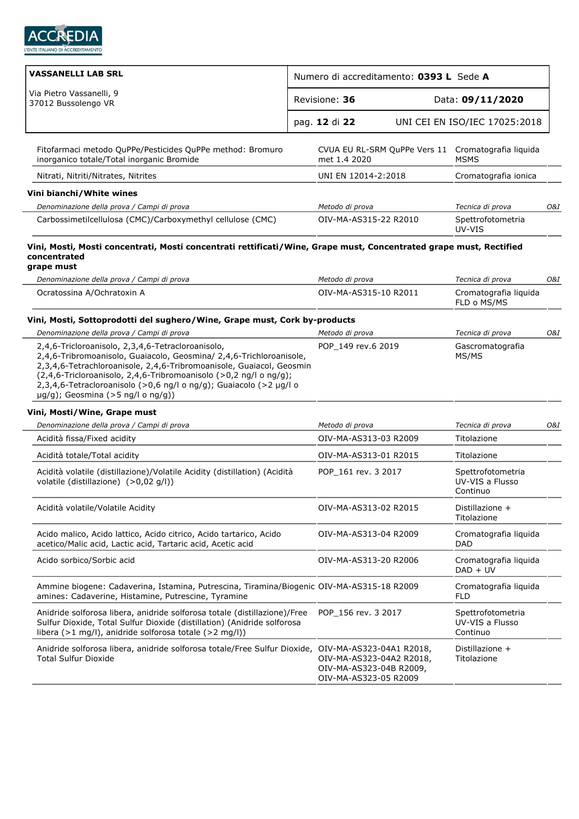

| <b>VASSANELLI LAB SRL</b>                                                                                                                                                                                                                                                                                                                                                             | Numero di accreditamento: 0393 L Sede A |                                                                              |  |                                                                   |     |
|---------------------------------------------------------------------------------------------------------------------------------------------------------------------------------------------------------------------------------------------------------------------------------------------------------------------------------------------------------------------------------------|-----------------------------------------|------------------------------------------------------------------------------|--|-------------------------------------------------------------------|-----|
| Via Pietro Vassanelli, 9<br>37012 Bussolengo VR                                                                                                                                                                                                                                                                                                                                       | Revisione: 36                           |                                                                              |  | Data: 09/11/2020                                                  |     |
|                                                                                                                                                                                                                                                                                                                                                                                       | pag. 12 di 22                           |                                                                              |  | UNI CEI EN ISO/IEC 17025:2018                                     |     |
| Fitofarmaci metodo QuPPe/Pesticides QuPPe method: Bromuro<br>inorganico totale/Total inorganic Bromide                                                                                                                                                                                                                                                                                |                                         | met 1.4 2020                                                                 |  | CVUA EU RL-SRM QuPPe Vers 11 Cromatografia liquida<br><b>MSMS</b> |     |
| Nitrati, Nitriti/Nitrates, Nitrites                                                                                                                                                                                                                                                                                                                                                   |                                         | UNI EN 12014-2:2018                                                          |  | Cromatografia ionica                                              |     |
| Vini bianchi/White wines                                                                                                                                                                                                                                                                                                                                                              |                                         |                                                                              |  |                                                                   |     |
| Denominazione della prova / Campi di prova                                                                                                                                                                                                                                                                                                                                            |                                         | Metodo di prova                                                              |  | Tecnica di prova                                                  | O&I |
| Carbossimetilcellulosa (CMC)/Carboxymethyl cellulose (CMC)                                                                                                                                                                                                                                                                                                                            |                                         | OIV-MA-AS315-22 R2010                                                        |  | Spettrofotometria<br>UV-VIS                                       |     |
| Vini, Mosti, Mosti concentrati, Mosti concentrati rettificati/Wine, Grape must, Concentrated grape must, Rectified<br>concentrated<br>grape must                                                                                                                                                                                                                                      |                                         |                                                                              |  |                                                                   |     |
| Denominazione della prova / Campi di prova                                                                                                                                                                                                                                                                                                                                            |                                         | Metodo di prova                                                              |  | Tecnica di prova                                                  | O&I |
| Ocratossina A/Ochratoxin A                                                                                                                                                                                                                                                                                                                                                            |                                         | OIV-MA-AS315-10 R2011                                                        |  | Cromatografia liquida<br>FLD o MS/MS                              |     |
| Vini, Mosti, Sottoprodotti del sughero/Wine, Grape must, Cork by-products                                                                                                                                                                                                                                                                                                             |                                         |                                                                              |  |                                                                   |     |
| Denominazione della prova / Campi di prova                                                                                                                                                                                                                                                                                                                                            |                                         | Metodo di prova                                                              |  | Tecnica di prova                                                  | O&I |
| 2,4,6-Tricloroanisolo, 2,3,4,6-Tetracloroanisolo,<br>2,4,6-Tribromoanisolo, Guaiacolo, Geosmina/ 2,4,6-Trichloroanisole,<br>2,3,4,6-Tetrachloroanisole, 2,4,6-Tribromoanisole, Guaiacol, Geosmin<br>(2,4,6-Tricloroanisolo, 2,4,6-Tribromoanisolo (>0,2 ng/l o ng/g);<br>2,3,4,6-Tetracloroanisolo (>0,6 ng/l o ng/g); Guaiacolo (>2 µg/l o<br>$\mu$ g/g); Geosmina (>5 ng/l o ng/g)) |                                         | POP 149 rev.6 2019                                                           |  | Gascromatografia<br>MS/MS                                         |     |
| Vini, Mosti/Wine, Grape must                                                                                                                                                                                                                                                                                                                                                          |                                         |                                                                              |  |                                                                   |     |
| Denominazione della prova / Campi di prova                                                                                                                                                                                                                                                                                                                                            |                                         | Metodo di prova                                                              |  | Tecnica di prova                                                  | O&I |
| Acidità fissa/Fixed acidity                                                                                                                                                                                                                                                                                                                                                           |                                         | OIV-MA-AS313-03 R2009                                                        |  | Titolazione                                                       |     |
| Acidità totale/Total acidity                                                                                                                                                                                                                                                                                                                                                          |                                         | OIV-MA-AS313-01 R2015                                                        |  | Titolazione                                                       |     |
| Acidità volatile (distillazione)/Volatile Acidity (distillation) (Acidità<br>volatile (distillazione) (>0,02 g/l))                                                                                                                                                                                                                                                                    |                                         | POP 161 rev. 3 2017                                                          |  | Spettrofotometria<br>UV-VIS a Flusso<br>Continuo                  |     |
| Acidità volatile/Volatile Acidity                                                                                                                                                                                                                                                                                                                                                     |                                         | OIV-MA-AS313-02 R2015                                                        |  | Distillazione +<br>Titolazione                                    |     |
| Acido malico, Acido lattico, Acido citrico, Acido tartarico, Acido<br>acetico/Malic acid, Lactic acid, Tartaric acid, Acetic acid                                                                                                                                                                                                                                                     |                                         | OIV-MA-AS313-04 R2009                                                        |  | Cromatografia liquida<br>DAD                                      |     |
| Acido sorbico/Sorbic acid                                                                                                                                                                                                                                                                                                                                                             |                                         | OIV-MA-AS313-20 R2006                                                        |  | Cromatografia liquida<br>$DAD + UV$                               |     |
| Ammine biogene: Cadaverina, Istamina, Putrescina, Tiramina/Biogenic OIV-MA-AS315-18 R2009<br>amines: Cadaverine, Histamine, Putrescine, Tyramine                                                                                                                                                                                                                                      |                                         |                                                                              |  | Cromatografia liquida<br>FLD                                      |     |
| Anidride solforosa libera, anidride solforosa totale (distillazione)/Free<br>Sulfur Dioxide, Total Sulfur Dioxide (distillation) (Anidride solforosa<br>libera (>1 mg/l), anidride solforosa totale (>2 mg/l))                                                                                                                                                                        |                                         | POP 156 rev. 3 2017                                                          |  | Spettrofotometria<br>UV-VIS a Flusso<br>Continuo                  |     |
| Anidride solforosa libera, anidride solforosa totale/Free Sulfur Dioxide, OIV-MA-AS323-04A1 R2018,<br><b>Total Sulfur Dioxide</b>                                                                                                                                                                                                                                                     |                                         | OIV-MA-AS323-04A2 R2018,<br>OIV-MA-AS323-04B R2009,<br>OIV-MA-AS323-05 R2009 |  | Distillazione +<br>Titolazione                                    |     |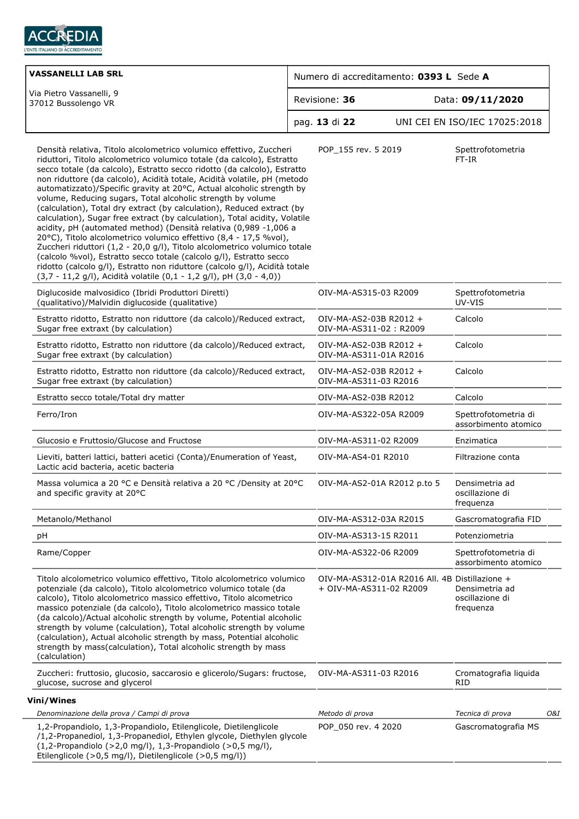

| <b>VASSANELLI LAB SRL</b>                                                                                                                                                                                                                                                                                                                                                                                                                                                                                                                                                                                                                                                                                                                                                                                                                                                                                                                                                                                                                                |                       | Numero di accreditamento: 0393 L Sede A                                   |                                                |     |
|----------------------------------------------------------------------------------------------------------------------------------------------------------------------------------------------------------------------------------------------------------------------------------------------------------------------------------------------------------------------------------------------------------------------------------------------------------------------------------------------------------------------------------------------------------------------------------------------------------------------------------------------------------------------------------------------------------------------------------------------------------------------------------------------------------------------------------------------------------------------------------------------------------------------------------------------------------------------------------------------------------------------------------------------------------|-----------------------|---------------------------------------------------------------------------|------------------------------------------------|-----|
| Via Pietro Vassanelli, 9<br>37012 Bussolengo VR                                                                                                                                                                                                                                                                                                                                                                                                                                                                                                                                                                                                                                                                                                                                                                                                                                                                                                                                                                                                          | Revisione: 36         |                                                                           | Data: 09/11/2020                               |     |
|                                                                                                                                                                                                                                                                                                                                                                                                                                                                                                                                                                                                                                                                                                                                                                                                                                                                                                                                                                                                                                                          | pag. 13 di 22         |                                                                           | UNI CEI EN ISO/IEC 17025:2018                  |     |
| Densità relativa, Titolo alcolometrico volumico effettivo, Zuccheri<br>riduttori, Titolo alcolometrico volumico totale (da calcolo), Estratto<br>secco totale (da calcolo), Estratto secco ridotto (da calcolo), Estratto<br>non riduttore (da calcolo), Acidità totale, Acidità volatile, pH (metodo<br>automatizzato)/Specific gravity at 20°C, Actual alcoholic strength by<br>volume, Reducing sugars, Total alcoholic strength by volume<br>(calculation), Total dry extract (by calculation), Reduced extract (by<br>calculation), Sugar free extract (by calculation), Total acidity, Volatile<br>acidity, pH (automated method) (Densità relativa (0,989 -1,006 a<br>20°C), Titolo alcolometrico volumico effettivo (8,4 - 17,5 %vol),<br>Zuccheri riduttori (1,2 - 20,0 g/l), Titolo alcolometrico volumico totale<br>(calcolo %vol), Estratto secco totale (calcolo g/l), Estratto secco<br>ridotto (calcolo g/l), Estratto non riduttore (calcolo g/l), Acidità totale<br>(3,7 - 11,2 g/l), Acidità volatile (0,1 - 1,2 g/l), pH (3,0 - 4,0)) | POP_155 rev. 5 2019   |                                                                           | Spettrofotometria<br>FT-IR                     |     |
| Diglucoside malvosidico (Ibridi Produttori Diretti)<br>(qualitativo)/Malvidin diglucoside (qualitative)                                                                                                                                                                                                                                                                                                                                                                                                                                                                                                                                                                                                                                                                                                                                                                                                                                                                                                                                                  | OIV-MA-AS315-03 R2009 |                                                                           | Spettrofotometria<br>UV-VIS                    |     |
| Estratto ridotto, Estratto non riduttore (da calcolo)/Reduced extract,<br>Sugar free extraxt (by calculation)                                                                                                                                                                                                                                                                                                                                                                                                                                                                                                                                                                                                                                                                                                                                                                                                                                                                                                                                            |                       | OIV-MA-AS2-03B R2012 +<br>OIV-MA-AS311-02: R2009                          | Calcolo                                        |     |
| Estratto ridotto, Estratto non riduttore (da calcolo)/Reduced extract,<br>Sugar free extraxt (by calculation)                                                                                                                                                                                                                                                                                                                                                                                                                                                                                                                                                                                                                                                                                                                                                                                                                                                                                                                                            |                       | OIV-MA-AS2-03B R2012 +<br>OIV-MA-AS311-01A R2016                          | Calcolo                                        |     |
| Estratto ridotto, Estratto non riduttore (da calcolo)/Reduced extract,<br>Sugar free extraxt (by calculation)                                                                                                                                                                                                                                                                                                                                                                                                                                                                                                                                                                                                                                                                                                                                                                                                                                                                                                                                            | OIV-MA-AS311-03 R2016 | OIV-MA-AS2-03B R2012 +                                                    | Calcolo                                        |     |
| Estratto secco totale/Total dry matter                                                                                                                                                                                                                                                                                                                                                                                                                                                                                                                                                                                                                                                                                                                                                                                                                                                                                                                                                                                                                   | OIV-MA-AS2-03B R2012  |                                                                           | Calcolo                                        |     |
| Ferro/Iron                                                                                                                                                                                                                                                                                                                                                                                                                                                                                                                                                                                                                                                                                                                                                                                                                                                                                                                                                                                                                                               |                       | OIV-MA-AS322-05A R2009                                                    | Spettrofotometria di<br>assorbimento atomico   |     |
| Glucosio e Fruttosio/Glucose and Fructose                                                                                                                                                                                                                                                                                                                                                                                                                                                                                                                                                                                                                                                                                                                                                                                                                                                                                                                                                                                                                | OIV-MA-AS311-02 R2009 |                                                                           | Enzimatica                                     |     |
| Lieviti, batteri lattici, batteri acetici (Conta)/Enumeration of Yeast,<br>Lactic acid bacteria, acetic bacteria                                                                                                                                                                                                                                                                                                                                                                                                                                                                                                                                                                                                                                                                                                                                                                                                                                                                                                                                         | OIV-MA-AS4-01 R2010   |                                                                           | Filtrazione conta                              |     |
| Massa volumica a 20 °C e Densità relativa a 20 °C /Density at 20°C<br>and specific gravity at 20°C                                                                                                                                                                                                                                                                                                                                                                                                                                                                                                                                                                                                                                                                                                                                                                                                                                                                                                                                                       |                       | OIV-MA-AS2-01A R2012 p.to 5                                               | Densimetria ad<br>oscillazione di<br>frequenza |     |
| Metanolo/Methanol                                                                                                                                                                                                                                                                                                                                                                                                                                                                                                                                                                                                                                                                                                                                                                                                                                                                                                                                                                                                                                        |                       | OIV-MA-AS312-03A R2015                                                    | Gascromatografia FID                           |     |
| pH                                                                                                                                                                                                                                                                                                                                                                                                                                                                                                                                                                                                                                                                                                                                                                                                                                                                                                                                                                                                                                                       | OIV-MA-AS313-15 R2011 |                                                                           | Potenziometria                                 |     |
| Rame/Copper                                                                                                                                                                                                                                                                                                                                                                                                                                                                                                                                                                                                                                                                                                                                                                                                                                                                                                                                                                                                                                              | OIV-MA-AS322-06 R2009 |                                                                           | Spettrofotometria di<br>assorbimento atomico   |     |
| Titolo alcolometrico volumico effettivo, Titolo alcolometrico volumico<br>potenziale (da calcolo), Titolo alcolometrico volumico totale (da<br>calcolo), Titolo alcolometrico massico effettivo, Titolo alcometrico<br>massico potenziale (da calcolo), Titolo alcolometrico massico totale<br>(da calcolo)/Actual alcoholic strength by volume, Potential alcoholic<br>strength by volume (calculation), Total alcoholic strength by volume<br>(calculation), Actual alcoholic strength by mass, Potential alcoholic<br>strength by mass(calculation), Total alcoholic strength by mass<br>(calculation)                                                                                                                                                                                                                                                                                                                                                                                                                                                |                       | OIV-MA-AS312-01A R2016 All. 4B Distillazione +<br>+ OIV-MA-AS311-02 R2009 | Densimetria ad<br>oscillazione di<br>frequenza |     |
| Zuccheri: fruttosio, glucosio, saccarosio e glicerolo/Sugars: fructose,<br>glucose, sucrose and glycerol                                                                                                                                                                                                                                                                                                                                                                                                                                                                                                                                                                                                                                                                                                                                                                                                                                                                                                                                                 | OIV-MA-AS311-03 R2016 |                                                                           | Cromatografia liquida<br>RID                   |     |
| Vini/Wines                                                                                                                                                                                                                                                                                                                                                                                                                                                                                                                                                                                                                                                                                                                                                                                                                                                                                                                                                                                                                                               |                       |                                                                           |                                                |     |
| Denominazione della prova / Campi di prova                                                                                                                                                                                                                                                                                                                                                                                                                                                                                                                                                                                                                                                                                                                                                                                                                                                                                                                                                                                                               | Metodo di prova       |                                                                           | Tecnica di prova                               | O&1 |
| 1,2-Propandiolo, 1,3-Propandiolo, Etilenglicole, Dietilenglicole<br>/1,2-Propanediol, 1,3-Propanediol, Ethylen glycole, Diethylen glycole<br>$(1, 2$ -Propandiolo $(>2, 0$ mg/l), 1,3-Propandiolo $(>0, 5$ mg/l),<br>Etilenglicole (>0,5 mg/l), Dietilenglicole (>0,5 mg/l))                                                                                                                                                                                                                                                                                                                                                                                                                                                                                                                                                                                                                                                                                                                                                                             | POP 050 rev. 4 2020   |                                                                           | Gascromatografia MS                            |     |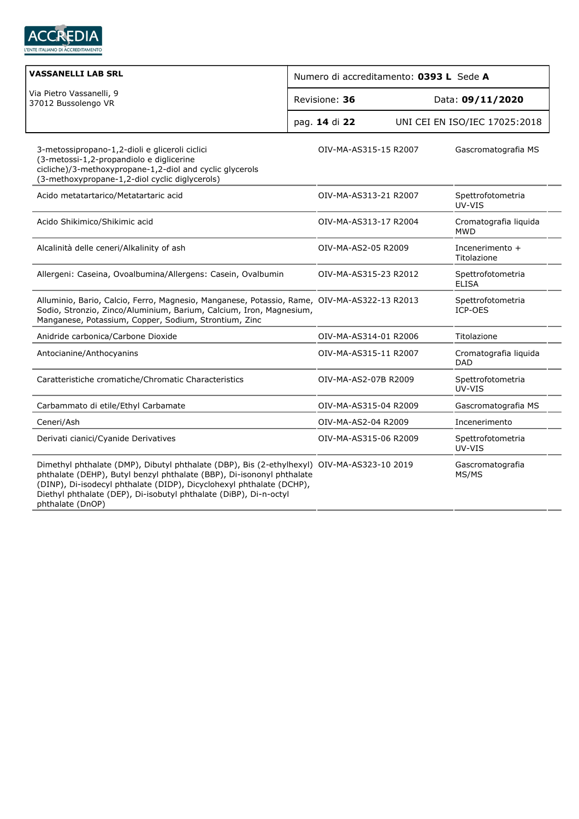

| <b>VASSANELLI LAB SRL</b>                                                                                                                                                                                                                                                                                                            | Numero di accreditamento: 0393 L Sede A |                       |  |                                     |  |
|--------------------------------------------------------------------------------------------------------------------------------------------------------------------------------------------------------------------------------------------------------------------------------------------------------------------------------------|-----------------------------------------|-----------------------|--|-------------------------------------|--|
| Via Pietro Vassanelli, 9<br>37012 Bussolengo VR                                                                                                                                                                                                                                                                                      |                                         | Revisione: 36         |  | Data: 09/11/2020                    |  |
|                                                                                                                                                                                                                                                                                                                                      |                                         | pag. 14 di 22         |  | UNI CEI EN ISO/IEC 17025:2018       |  |
| 3-metossipropano-1,2-dioli e gliceroli ciclici<br>(3-metossi-1,2-propandiolo e diglicerine<br>cicliche)/3-methoxypropane-1,2-diol and cyclic glycerols<br>(3-methoxypropane-1,2-diol cyclic diglycerols)                                                                                                                             |                                         | OIV-MA-AS315-15 R2007 |  | Gascromatografia MS                 |  |
| Acido metatartarico/Metatartaric acid                                                                                                                                                                                                                                                                                                |                                         | OIV-MA-AS313-21 R2007 |  | Spettrofotometria<br>UV-VIS         |  |
| Acido Shikimico/Shikimic acid                                                                                                                                                                                                                                                                                                        |                                         | OIV-MA-AS313-17 R2004 |  | Cromatografia liquida<br>MWD        |  |
| Alcalinità delle ceneri/Alkalinity of ash                                                                                                                                                                                                                                                                                            |                                         | OIV-MA-AS2-05 R2009   |  | Incenerimento +<br>Titolazione      |  |
| Allergeni: Caseina, Ovoalbumina/Allergens: Casein, Ovalbumin                                                                                                                                                                                                                                                                         |                                         | OIV-MA-AS315-23 R2012 |  | Spettrofotometria<br><b>ELISA</b>   |  |
| Alluminio, Bario, Calcio, Ferro, Magnesio, Manganese, Potassio, Rame, OIV-MA-AS322-13 R2013<br>Sodio, Stronzio, Zinco/Aluminium, Barium, Calcium, Iron, Magnesium,<br>Manganese, Potassium, Copper, Sodium, Strontium, Zinc                                                                                                          |                                         |                       |  | Spettrofotometria<br>ICP-OES        |  |
| Anidride carbonica/Carbone Dioxide                                                                                                                                                                                                                                                                                                   |                                         | OIV-MA-AS314-01 R2006 |  | Titolazione                         |  |
| Antocianine/Anthocyanins                                                                                                                                                                                                                                                                                                             |                                         | OIV-MA-AS315-11 R2007 |  | Cromatografia liquida<br><b>DAD</b> |  |
| Caratteristiche cromatiche/Chromatic Characteristics                                                                                                                                                                                                                                                                                 |                                         | OIV-MA-AS2-07B R2009  |  | Spettrofotometria<br>UV-VIS         |  |
| Carbammato di etile/Ethyl Carbamate                                                                                                                                                                                                                                                                                                  |                                         | OIV-MA-AS315-04 R2009 |  | Gascromatografia MS                 |  |
| Ceneri/Ash                                                                                                                                                                                                                                                                                                                           |                                         | OIV-MA-AS2-04 R2009   |  | Incenerimento                       |  |
| Derivati cianici/Cyanide Derivatives                                                                                                                                                                                                                                                                                                 |                                         | OIV-MA-AS315-06 R2009 |  | Spettrofotometria<br>UV-VIS         |  |
| Dimethyl phthalate (DMP), Dibutyl phthalate (DBP), Bis (2-ethylhexyl) OIV-MA-AS323-10 2019<br>phthalate (DEHP), Butyl benzyl phthalate (BBP), Di-isononyl phthalate<br>(DINP), Di-isodecyl phthalate (DIDP), Dicyclohexyl phthalate (DCHP),<br>Diethyl phthalate (DEP), Di-isobutyl phthalate (DiBP), Di-n-octyl<br>phthalate (DnOP) |                                         |                       |  | Gascromatografia<br>MS/MS           |  |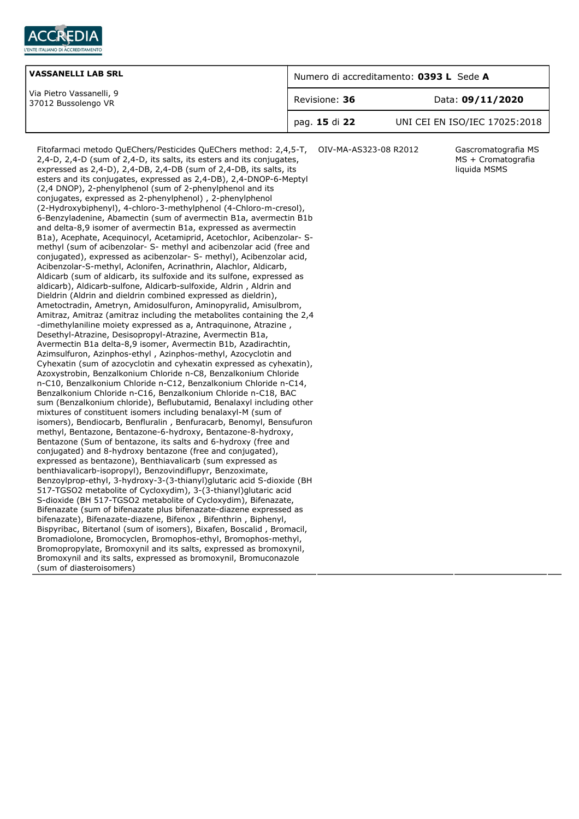

| <b>VASSANELLI LAB SRL</b>                       | Numero di accreditamento: 0393 L Sede A |                               |
|-------------------------------------------------|-----------------------------------------|-------------------------------|
| Via Pietro Vassanelli, 9<br>37012 Bussolengo VR | Revisione: 36                           | Data: 09/11/2020              |
|                                                 | pag. 15 di 22                           | UNI CEI EN ISO/IEC 17025:2018 |

Fitofarmaci metodo QuEChers/Pesticides QuEChers method: 2,4,5-T, OIV-MA-AS323-08 R2012 Gascromatografia MS 2,4-D, 2,4-D (sum of 2,4-D, its salts, its esters and its conjugates, expressed as 2,4-D), 2,4-DB, 2,4-DB (sum of 2,4-DB, its salts, its esters and its conjugates, expressed as 2,4-DB), 2,4-DNOP-6-Meptyl (2,4 DNOP), 2-phenylphenol (sum of 2-phenylphenol and its conjugates, expressed as 2-phenylphenol) , 2-phenylphenol (2-Hydroxybiphenyl), 4-chloro-3-methylphenol (4-Chloro-m-cresol), 6-Benzyladenine, Abamectin (sum of avermectin B1a, avermectin B1b and delta-8,9 isomer of avermectin B1a, expressed as avermectin B1a), Acephate, Acequinocyl, Acetamiprid, Acetochlor, Acibenzolar- Smethyl (sum of acibenzolar- S- methyl and acibenzolar acid (free and conjugated), expressed as acibenzolar- S- methyl), Acibenzolar acid, Acibenzolar-S-methyl, Aclonifen, Acrinathrin, Alachlor, Aldicarb, Aldicarb (sum of aldicarb, its sulfoxide and its sulfone, expressed as aldicarb), Aldicarb-sulfone, Aldicarb-sulfoxide, Aldrin , Aldrin and Dieldrin (Aldrin and dieldrin combined expressed as dieldrin), Ametoctradin, Ametryn, Amidosulfuron, Aminopyralid, Amisulbrom, Amitraz, Amitraz (amitraz including the metabolites containing the 2,4 -dimethylaniline moiety expressed as a, Antraquinone, Atrazine , Desethyl-Atrazine, Desisopropyl-Atrazine, Avermectin B1a, Avermectin B1a delta-8,9 isomer, Avermectin B1b, Azadirachtin, Azimsulfuron, Azinphos-ethyl , Azinphos-methyl, Azocyclotin and Cyhexatin (sum of azocyclotin and cyhexatin expressed as cyhexatin), Azoxystrobin, Benzalkonium Chloride n-C8, Benzalkonium Chloride n-C10, Benzalkonium Chloride n-C12, Benzalkonium Chloride n-C14, Benzalkonium Chloride n-C16, Benzalkonium Chloride n-C18, BAC sum (Benzalkonium chloride), Beflubutamid, Benalaxyl including other mixtures of constituent isomers including benalaxyl-M (sum of isomers), Bendiocarb, Benfluralin , Benfuracarb, Benomyl, Bensufuron methyl, Bentazone, Bentazone-6-hydroxy, Bentazone-8-hydroxy, Bentazone (Sum of bentazone, its salts and 6-hydroxy (free and conjugated) and 8-hydroxy bentazone (free and conjugated), expressed as bentazone), Benthiavalicarb (sum expressed as benthiavalicarb-isopropyl), Benzovindiflupyr, Benzoximate, Benzoylprop-ethyl, 3-hydroxy-3-(3-thianyl)glutaric acid S-dioxide (BH 517-TGSO2 metabolite of Cycloxydim), 3-(3-thianyl)glutaric acid S-dioxide (BH 517-TGSO2 metabolite of Cycloxydim), Bifenazate, Bifenazate (sum of bifenazate plus bifenazate-diazene expressed as bifenazate), Bifenazate-diazene, Bifenox , Bifenthrin , Biphenyl, Bispyribac, Bitertanol (sum of isomers), Bixafen, Boscalid , Bromacil, Bromadiolone, Bromocyclen, Bromophos-ethyl, Bromophos-methyl, Bromopropylate, Bromoxynil and its salts, expressed as bromoxynil, Bromoxynil and its salts, expressed as bromoxynil, Bromuconazole (sum of diasteroisomers)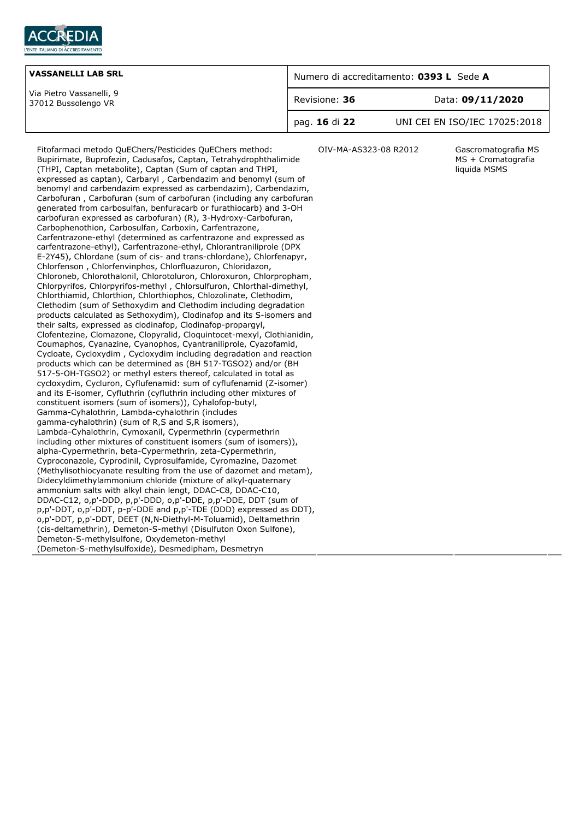

| <b>VASSANELLI LAB SRL</b>                       | Numero di accreditamento: 0393 L Sede A |                               |
|-------------------------------------------------|-----------------------------------------|-------------------------------|
| Via Pietro Vassanelli, 9<br>37012 Bussolengo VR | Revisione: 36                           | Data: 09/11/2020              |
|                                                 | pag. 16 di 22                           | UNI CEI EN ISO/IEC 17025:2018 |

Fitofarmaci metodo QuEChers/Pesticides QuEChers method: Bupirimate, Buprofezin, Cadusafos, Captan, Tetrahydrophthalimide (THPI, Captan metabolite), Captan (Sum of captan and THPI, expressed as captan), Carbaryl , Carbendazim and benomyl (sum of benomyl and carbendazim expressed as carbendazim), Carbendazim, Carbofuran , Carbofuran (sum of carbofuran (including any carbofuran generated from carbosulfan, benfuracarb or furathiocarb) and 3-OH carbofuran expressed as carbofuran) (R), 3-Hydroxy-Carbofuran, Carbophenothion, Carbosulfan, Carboxin, Carfentrazone, Carfentrazone-ethyl (determined as carfentrazone and expressed as carfentrazone-ethyl), Carfentrazone-ethyl, Chlorantraniliprole (DPX E-2Y45), Chlordane (sum of cis- and trans-chlordane), Chlorfenapyr, Chlorfenson , Chlorfenvinphos, Chlorfluazuron, Chloridazon, Chloroneb, Chlorothalonil, Chlorotoluron, Chloroxuron, Chlorpropham, Chlorpyrifos, Chlorpyrifos-methyl , Chlorsulfuron, Chlorthal-dimethyl, Chlorthiamid, Chlorthion, Chlorthiophos, Chlozolinate, Clethodim, Clethodim (sum of Sethoxydim and Clethodim including degradation products calculated as Sethoxydim), Clodinafop and its S-isomers and their salts, expressed as clodinafop, Clodinafop-propargyl, Clofentezine, Clomazone, Clopyralid, Cloquintocet-mexyl, Clothianidin, Coumaphos, Cyanazine, Cyanophos, Cyantraniliprole, Cyazofamid, Cycloate, Cycloxydim , Cycloxydim including degradation and reaction products which can be determined as (BH 517-TGSO2) and/or (BH 517-5-OH-TGSO2) or methyl esters thereof, calculated in total as cycloxydim, Cycluron, Cyflufenamid: sum of cyflufenamid (Z-isomer) and its E-isomer, Cyfluthrin (cyfluthrin including other mixtures of constituent isomers (sum of isomers)), Cyhalofop-butyl, Gamma-Cyhalothrin, Lambda-cyhalothrin (includes gamma-cyhalothrin) (sum of R,S and S,R isomers), Lambda-Cyhalothrin, Cymoxanil, Cypermethrin (cypermethrin including other mixtures of constituent isomers (sum of isomers)), alpha-Cypermethrin, beta-Cypermethrin, zeta-Cypermethrin, Cyproconazole, Cyprodinil, Cyprosulfamide, Cyromazine, Dazomet (Methylisothiocyanate resulting from the use of dazomet and metam), Didecyldimethylammonium chloride (mixture of alkyl-quaternary ammonium salts with alkyl chain lengt, DDAC-C8, DDAC-C10, DDAC-C12, o,p'-DDD, p,p'-DDD, o,p'-DDE, p,p'-DDE, DDT (sum of p,p'-DDT, o,p'-DDT, p-p'-DDE and p,p'-TDE (DDD) expressed as DDT), o,p'-DDT, p,p'-DDT, DEET (N,N-Diethyl-M-Toluamid), Deltamethrin (cis-deltamethrin), Demeton-S-methyl (Disulfuton Oxon Sulfone), Demeton-S-methylsulfone, Oxydemeton-methyl (Demeton-S-methylsulfoxide), Desmedipham, Desmetryn

OIV-MA-AS323-08 R2012 Gascromatografia MS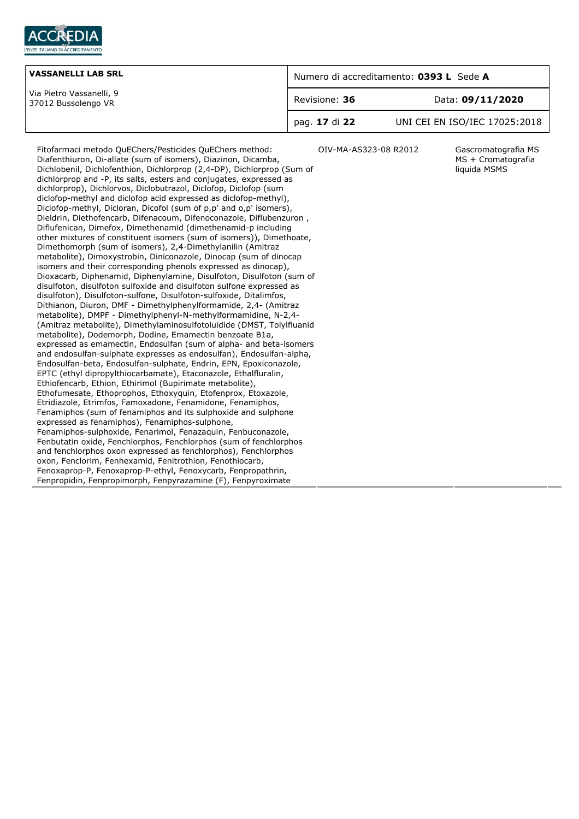

| <b>VASSANELLI LAB SRL</b>                       | Numero di accreditamento: 0393 L Sede A |                               |
|-------------------------------------------------|-----------------------------------------|-------------------------------|
| Via Pietro Vassanelli, 9<br>37012 Bussolengo VR | Revisione: 36                           | Data: 09/11/2020              |
|                                                 | pag. 17 di 22                           | UNI CEI EN ISO/IEC 17025:2018 |

OIV-MA-AS323-08 R2012 Gascromatografia MS

MS + Cromatografia liquida MSMS

Fitofarmaci metodo QuEChers/Pesticides QuEChers method: Diafenthiuron, Di-allate (sum of isomers), Diazinon, Dicamba, Dichlobenil, Dichlofenthion, Dichlorprop (2,4-DP), Dichlorprop (Sum of dichlorprop and -P, its salts, esters and conjugates, expressed as dichlorprop), Dichlorvos, Diclobutrazol, Diclofop, Diclofop (sum diclofop-methyl and diclofop acid expressed as diclofop-methyl), Diclofop-methyl, Dicloran, Dicofol (sum of p,p' and o,p' isomers), Dieldrin, Diethofencarb, Difenacoum, Difenoconazole, Diflubenzuron , Diflufenican, Dimefox, Dimethenamid (dimethenamid-p including other mixtures of constituent isomers (sum of isomers)), Dimethoate, Dimethomorph (sum of isomers), 2,4-Dimethylanilin (Amitraz metabolite), Dimoxystrobin, Diniconazole, Dinocap (sum of dinocap isomers and their corresponding phenols expressed as dinocap), Dioxacarb, Diphenamid, Diphenylamine, Disulfoton, Disulfoton (sum of disulfoton, disulfoton sulfoxide and disulfoton sulfone expressed as disulfoton), Disulfoton-sulfone, Disulfoton-sulfoxide, Ditalimfos, Dithianon, Diuron, DMF - Dimethylphenylformamide, 2,4- (Amitraz metabolite), DMPF - Dimethylphenyl-N-methylformamidine, N-2,4- (Amitraz metabolite), Dimethylaminosulfotoluidide (DMST, Tolylfluanid metabolite), Dodemorph, Dodine, Emamectin benzoate B1a, expressed as emamectin, Endosulfan (sum of alpha- and beta-isomers and endosulfan-sulphate expresses as endosulfan), Endosulfan-alpha, Endosulfan-beta, Endosulfan-sulphate, Endrin, EPN, Epoxiconazole, EPTC (ethyl dipropylthiocarbamate), Etaconazole, Ethalfluralin, Ethiofencarb, Ethion, Ethirimol (Bupirimate metabolite), Ethofumesate, Ethoprophos, Ethoxyquin, Etofenprox, Etoxazole, Etridiazole, Etrimfos, Famoxadone, Fenamidone, Fenamiphos, Fenamiphos (sum of fenamiphos and its sulphoxide and sulphone expressed as fenamiphos), Fenamiphos-sulphone, Fenamiphos-sulphoxide, Fenarimol, Fenazaquin, Fenbuconazole, Fenbutatin oxide, Fenchlorphos, Fenchlorphos (sum of fenchlorphos and fenchlorphos oxon expressed as fenchlorphos), Fenchlorphos oxon, Fenclorim, Fenhexamid, Fenitrothion, Fenothiocarb, Fenoxaprop-P, Fenoxaprop-P-ethyl, Fenoxycarb, Fenpropathrin, Fenpropidin, Fenpropimorph, Fenpyrazamine (F), Fenpyroximate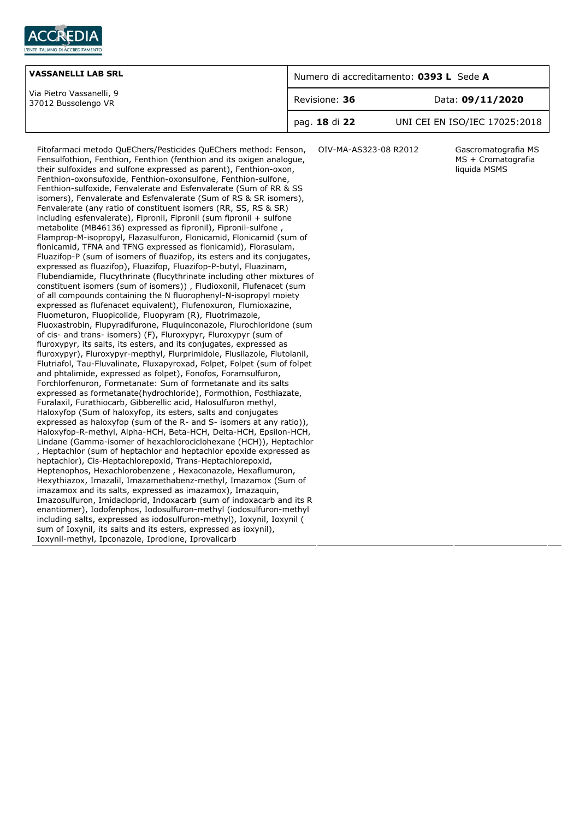

| <b>VASSANELLI LAB SRL</b>                       | Numero di accreditamento: 0393 L Sede A |                               |  |
|-------------------------------------------------|-----------------------------------------|-------------------------------|--|
| Via Pietro Vassanelli, 9<br>37012 Bussolengo VR | Revisione: 36                           | Data: 09/11/2020              |  |
|                                                 | pag. 18 di 22                           | UNI CEI EN ISO/IEC 17025:2018 |  |

Fitofarmaci metodo QuEChers/Pesticides QuEChers method: Fenson, Fensulfothion, Fenthion, Fenthion (fenthion and its oxigen analogue, their sulfoxides and sulfone expressed as parent), Fenthion-oxon, Fenthion-oxonsufoxide, Fenthion-oxonsulfone, Fenthion-sulfone, Fenthion-sulfoxide, Fenvalerate and Esfenvalerate (Sum of RR & SS isomers), Fenvalerate and Esfenvalerate (Sum of RS & SR isomers), Fenvalerate (any ratio of constituent isomers (RR, SS, RS & SR) including esfenvalerate), Fipronil, Fipronil (sum fipronil + sulfone metabolite (MB46136) expressed as fipronil), Fipronil-sulfone , Flamprop-M-isopropyl, Flazasulfuron, Flonicamid, Flonicamid (sum of flonicamid, TFNA and TFNG expressed as flonicamid), Florasulam, Fluazifop-P (sum of isomers of fluazifop, its esters and its conjugates, expressed as fluazifop), Fluazifop, Fluazifop-P-butyl, Fluazinam, Flubendiamide, Flucythrinate (flucythrinate including other mixtures of constituent isomers (sum of isomers)) , Fludioxonil, Flufenacet (sum of all compounds containing the N fluorophenyl-N-isopropyl moiety expressed as flufenacet equivalent), Flufenoxuron, Flumioxazine, Fluometuron, Fluopicolide, Fluopyram (R), Fluotrimazole, Fluoxastrobin, Flupyradifurone, Fluquinconazole, Flurochloridone (sum of cis- and trans- isomers) (F), Fluroxypyr, Fluroxypyr (sum of fluroxypyr, its salts, its esters, and its conjugates, expressed as fluroxypyr), Fluroxypyr-mepthyl, Flurprimidole, Flusilazole, Flutolanil, Flutriafol, Tau-Fluvalinate, Fluxapyroxad, Folpet, Folpet (sum of folpet and phtalimide, expressed as folpet), Fonofos, Foramsulfuron, Forchlorfenuron, Formetanate: Sum of formetanate and its salts expressed as formetanate(hydrochloride), Formothion, Fosthiazate, Furalaxil, Furathiocarb, Gibberellic acid, Halosulfuron methyl, Haloxyfop (Sum of haloxyfop, its esters, salts and conjugates expressed as haloxyfop (sum of the R- and S- isomers at any ratio)), Haloxyfop-R-methyl, Alpha-HCH, Beta-HCH, Delta-HCH, Epsilon-HCH, Lindane (Gamma-isomer of hexachlorociclohexane (HCH)), Heptachlor , Heptachlor (sum of heptachlor and heptachlor epoxide expressed as heptachlor), Cis-Heptachlorepoxid, Trans-Heptachlorepoxid, Heptenophos, Hexachlorobenzene , Hexaconazole, Hexaflumuron, Hexythiazox, Imazalil, Imazamethabenz-methyl, Imazamox (Sum of imazamox and its salts, expressed as imazamox), Imazaquin, Imazosulfuron, Imidacloprid, Indoxacarb (sum of indoxacarb and its R enantiomer), Iodofenphos, Iodosulfuron-methyl (iodosulfuron-methyl including salts, expressed as iodosulfuron-methyl), Ioxynil, Ioxynil ( sum of Ioxynil, its salts and its esters, expressed as ioxynil), Ioxynil-methyl, Ipconazole, Iprodione, Iprovalicarb

OIV-MA-AS323-08 R2012 Gascromatografia MS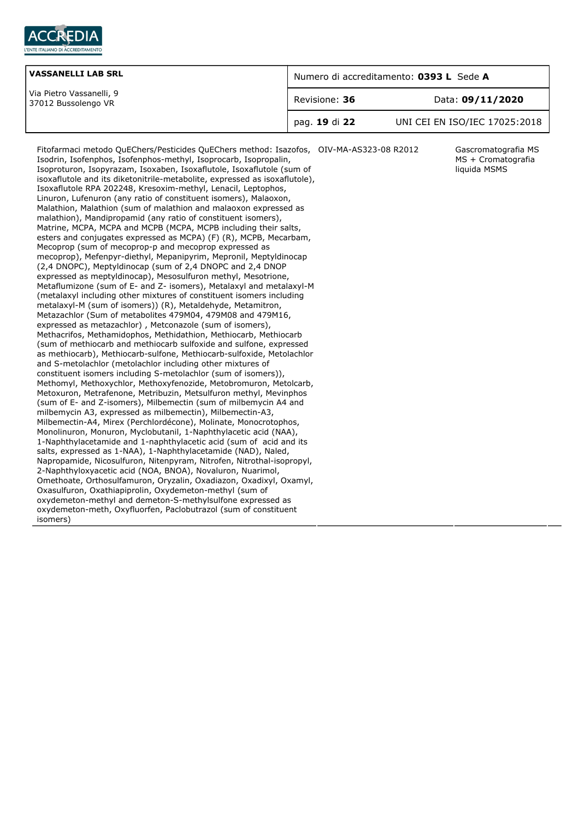

| <b>VASSANELLI LAB SRL</b>                       | Numero di accreditamento: 0393 L Sede A |                               |
|-------------------------------------------------|-----------------------------------------|-------------------------------|
| Via Pietro Vassanelli, 9<br>37012 Bussolengo VR | Revisione: 36                           | Data: 09/11/2020              |
|                                                 | pag. 19 di 22                           | UNI CEI EN ISO/IEC 17025:2018 |

Fitofarmaci metodo QuEChers/Pesticides QuEChers method: Isazofos, OIV-MA-AS323-08 R2012 Gascromatografia MS Isodrin, Isofenphos, Isofenphos-methyl, Isoprocarb, Isopropalin, Isoproturon, Isopyrazam, Isoxaben, Isoxaflutole, Isoxaflutole (sum of isoxaflutole and its diketonitrile-metabolite, expressed as isoxaflutole), Isoxaflutole RPA 202248, Kresoxim-methyl, Lenacil, Leptophos, Linuron, Lufenuron (any ratio of constituent isomers), Malaoxon, Malathion, Malathion (sum of malathion and malaoxon expressed as malathion), Mandipropamid (any ratio of constituent isomers), Matrine, MCPA, MCPA and MCPB (MCPA, MCPB including their salts, esters and conjugates expressed as MCPA) (F) (R), MCPB, Mecarbam, Mecoprop (sum of mecoprop-p and mecoprop expressed as mecoprop), Mefenpyr-diethyl, Mepanipyrim, Mepronil, Meptyldinocap (2,4 DNOPC), Meptyldinocap (sum of 2,4 DNOPC and 2,4 DNOP expressed as meptyldinocap), Mesosulfuron methyl, Mesotrione, Metaflumizone (sum of E- and Z- isomers), Metalaxyl and metalaxyl-M (metalaxyl including other mixtures of constituent isomers including metalaxyl-M (sum of isomers)) (R), Metaldehyde, Metamitron, Metazachlor (Sum of metabolites 479M04, 479M08 and 479M16, expressed as metazachlor) , Metconazole (sum of isomers), Methacrifos, Methamidophos, Methidathion, Methiocarb, Methiocarb (sum of methiocarb and methiocarb sulfoxide and sulfone, expressed as methiocarb), Methiocarb-sulfone, Methiocarb-sulfoxide, Metolachlor and S-metolachlor (metolachlor including other mixtures of constituent isomers including S-metolachlor (sum of isomers)), Methomyl, Methoxychlor, Methoxyfenozide, Metobromuron, Metolcarb, Metoxuron, Metrafenone, Metribuzin, Metsulfuron methyl, Mevinphos (sum of E- and Z-isomers), Milbemectin (sum of milbemycin A4 and milbemycin A3, expressed as milbemectin), Milbemectin-A3, Milbemectin-A4, Mirex (Perchlordécone), Molinate, Monocrotophos, Monolinuron, Monuron, Myclobutanil, 1-Naphthylacetic acid (NAA), 1-Naphthylacetamide and 1-naphthylacetic acid (sum of acid and its salts, expressed as 1-NAA), 1-Naphthylacetamide (NAD), Naled, Napropamide, Nicosulfuron, Nitenpyram, Nitrofen, Nitrothal-isopropyl, 2-Naphthyloxyacetic acid (NOA, BNOA), Novaluron, Nuarimol, Omethoate, Orthosulfamuron, Oryzalin, Oxadiazon, Oxadixyl, Oxamyl, Oxasulfuron, Oxathiapiprolin, Oxydemeton-methyl (sum of oxydemeton-methyl and demeton-S-methylsulfone expressed as oxydemeton-meth, Oxyfluorfen, Paclobutrazol (sum of constituent isomers)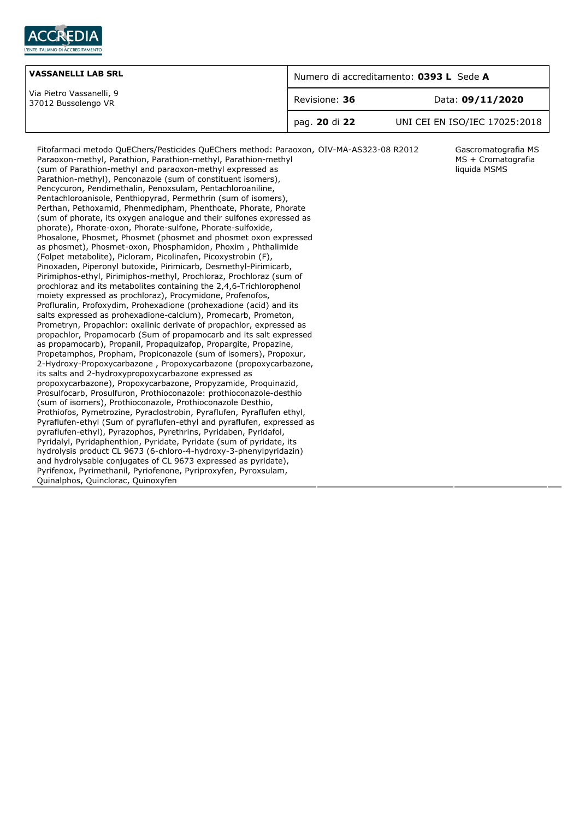

| <b>VASSANELLI LAB SRL</b>                       | Numero di accreditamento: 0393 L Sede A |                               |  |
|-------------------------------------------------|-----------------------------------------|-------------------------------|--|
| Via Pietro Vassanelli, 9<br>37012 Bussolengo VR | Revisione: 36                           | Data: 09/11/2020              |  |
|                                                 | pag. 20 di 22                           | UNI CEI EN ISO/IEC 17025:2018 |  |

MS + Cromatografia liquida MSMS

Fitofarmaci metodo QuEChers/Pesticides QuEChers method: Paraoxon, OIV-MA-AS323-08 R2012 Gascromatografia MS Paraoxon-methyl, Parathion, Parathion-methyl, Parathion-methyl (sum of Parathion-methyl and paraoxon-methyl expressed as Parathion-methyl), Penconazole (sum of constituent isomers), Pencycuron, Pendimethalin, Penoxsulam, Pentachloroaniline, Pentachloroanisole, Penthiopyrad, Permethrin (sum of isomers), Perthan, Pethoxamid, Phenmedipham, Phenthoate, Phorate, Phorate (sum of phorate, its oxygen analogue and their sulfones expressed as phorate), Phorate-oxon, Phorate-sulfone, Phorate-sulfoxide, Phosalone, Phosmet, Phosmet (phosmet and phosmet oxon expressed as phosmet), Phosmet-oxon, Phosphamidon, Phoxim , Phthalimide (Folpet metabolite), Picloram, Picolinafen, Picoxystrobin (F), Pinoxaden, Piperonyl butoxide, Pirimicarb, Desmethyl-Pirimicarb, Pirimiphos-ethyl, Pirimiphos-methyl, Prochloraz, Prochloraz (sum of prochloraz and its metabolites containing the 2,4,6-Trichlorophenol moiety expressed as prochloraz), Procymidone, Profenofos, Profluralin, Profoxydim, Prohexadione (prohexadione (acid) and its salts expressed as prohexadione-calcium), Promecarb, Prometon, Prometryn, Propachlor: oxalinic derivate of propachlor, expressed as propachlor, Propamocarb (Sum of propamocarb and its salt expressed as propamocarb), Propanil, Propaquizafop, Propargite, Propazine, Propetamphos, Propham, Propiconazole (sum of isomers), Propoxur, 2-Hydroxy-Propoxycarbazone , Propoxycarbazone (propoxycarbazone, its salts and 2-hydroxypropoxycarbazone expressed as propoxycarbazone), Propoxycarbazone, Propyzamide, Proquinazid, Prosulfocarb, Prosulfuron, Prothioconazole: prothioconazole-desthio (sum of isomers), Prothioconazole, Prothioconazole Desthio, Prothiofos, Pymetrozine, Pyraclostrobin, Pyraflufen, Pyraflufen ethyl, Pyraflufen-ethyl (Sum of pyraflufen-ethyl and pyraflufen, expressed as pyraflufen-ethyl), Pyrazophos, Pyrethrins, Pyridaben, Pyridafol, Pyridalyl, Pyridaphenthion, Pyridate, Pyridate (sum of pyridate, its hydrolysis product CL 9673 (6-chloro-4-hydroxy-3-phenylpyridazin) and hydrolysable conjugates of CL 9673 expressed as pyridate), Pyrifenox, Pyrimethanil, Pyriofenone, Pyriproxyfen, Pyroxsulam, Quinalphos, Quinclorac, Quinoxyfen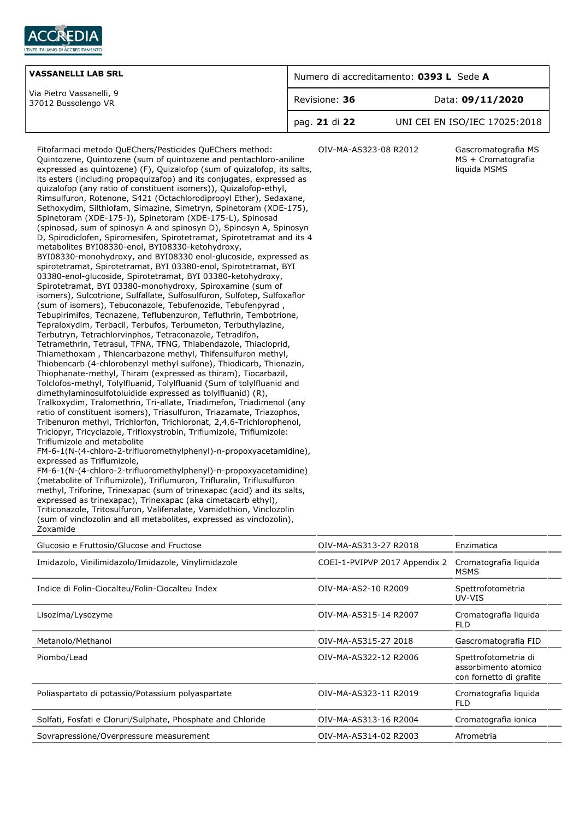

| <b>VASSANELLI LAB SRL</b>                       | Numero di accreditamento: 0393 L Sede A |                               |
|-------------------------------------------------|-----------------------------------------|-------------------------------|
| Via Pietro Vassanelli, 9<br>37012 Bussolengo VR | Revisione: 36                           | Data: 09/11/2020              |
|                                                 | pag. 21 di 22                           | UNI CEI EN ISO/IEC 17025:2018 |

Fitofarmaci metodo QuEChers/Pesticides QuEChers method: Quintozene, Quintozene (sum of quintozene and pentachloro-aniline expressed as quintozene) (F), Quizalofop (sum of quizalofop, its salts, its esters (including propaquizafop) and its conjugates, expressed as quizalofop (any ratio of constituent isomers)), Quizalofop-ethyl, Rimsulfuron, Rotenone, S421 (Octachlorodipropyl Ether), Sedaxane, Sethoxydim, Silthiofam, Simazine, Simetryn, Spinetoram (XDE-175), Spinetoram (XDE-175-J), Spinetoram (XDE-175-L), Spinosad (spinosad, sum of spinosyn A and spinosyn D), Spinosyn A, Spinosyn D, Spirodiclofen, Spiromesifen, Spirotetramat, Spirotetramat and its 4 metabolites BYI08330-enol, BYI08330-ketohydroxy, BYI08330-monohydroxy, and BYI08330 enol-glucoside, expressed as spirotetramat, Spirotetramat, BYI 03380-enol, Spirotetramat, BYI 03380-enol-glucoside, Spirotetramat, BYI 03380-ketohydroxy, Spirotetramat, BYI 03380-monohydroxy, Spiroxamine (sum of isomers), Sulcotrione, Sulfallate, Sulfosulfuron, Sulfotep, Sulfoxaflor (sum of isomers), Tebuconazole, Tebufenozide, Tebufenpyrad , Tebupirimifos, Tecnazene, Teflubenzuron, Tefluthrin, Tembotrione, Tepraloxydim, Terbacil, Terbufos, Terbumeton, Terbuthylazine, Terbutryn, Tetrachlorvinphos, Tetraconazole, Tetradifon, Tetramethrin, Tetrasul, TFNA, TFNG, Thiabendazole, Thiacloprid, Thiamethoxam , Thiencarbazone methyl, Thifensulfuron methyl, Thiobencarb (4-chlorobenzyl methyl sulfone), Thiodicarb, Thionazin, Thiophanate-methyl, Thiram (expressed as thiram), Tiocarbazil, Tolclofos-methyl, Tolylfluanid, Tolylfluanid (Sum of tolylfluanid and dimethylaminosulfotoluidide expressed as tolylfluanid) (R), Tralkoxydim, Tralomethrin, Tri-allate, Triadimefon, Triadimenol (any ratio of constituent isomers), Triasulfuron, Triazamate, Triazophos, Tribenuron methyl, Trichlorfon, Trichloronat, 2,4,6-Trichlorophenol, Triclopyr, Tricyclazole, Trifloxystrobin, Triflumizole, Triflumizole: Triflumizole and metabolite FM-6-1(N-(4-chloro-2-trifluoromethylphenyl)-n-propoxyacetamidine), expressed as Triflumizole,

FM-6-1(N-(4-chloro-2-trifluoromethylphenyl)-n-propoxyacetamidine) (metabolite of Triflumizole), Triflumuron, Trifluralin, Triflusulfuron methyl, Triforine, Trinexapac (sum of trinexapac (acid) and its salts, expressed as trinexapac), Trinexapac (aka cimetacarb ethyl), Triticonazole, Tritosulfuron, Valifenalate, Vamidothion, Vinclozolin (sum of vinclozolin and all metabolites, expressed as vinclozolin), Zoxamide

OIV-MA-AS323-08 R2012 Gascromatografia MS MS + Cromatografia liquida MSMS

| Glucosio e Fruttosio/Glucose and Fructose                   | OIV-MA-AS313-27 R2018         | Enzimatica                                                              |
|-------------------------------------------------------------|-------------------------------|-------------------------------------------------------------------------|
| Imidazolo, Vinilimidazolo/Imidazole, Vinylimidazole         | COEI-1-PVIPVP 2017 Appendix 2 | Cromatografia liguida<br><b>MSMS</b>                                    |
| Indice di Folin-Ciocalteu/Folin-Ciocalteu Index             | OIV-MA-AS2-10 R2009           | Spettrofotometria<br>UV-VIS                                             |
| Lisozima/Lysozyme                                           | OIV-MA-AS315-14 R2007         | Cromatografia liguida<br><b>FLD</b>                                     |
| Metanolo/Methanol                                           | OIV-MA-AS315-27 2018          | Gascromatografia FID                                                    |
| Piombo/Lead                                                 | OIV-MA-AS322-12 R2006         | Spettrofotometria di<br>assorbimento atomico<br>con fornetto di grafite |
| Poliaspartato di potassio/Potassium polyaspartate           | OIV-MA-AS323-11 R2019         | Cromatografia liguida<br><b>FLD</b>                                     |
| Solfati, Fosfati e Cloruri/Sulphate, Phosphate and Chloride | OIV-MA-AS313-16 R2004         | Cromatografia ionica                                                    |
| Sovrapressione/Overpressure measurement                     | OIV-MA-AS314-02 R2003         | Afrometria                                                              |